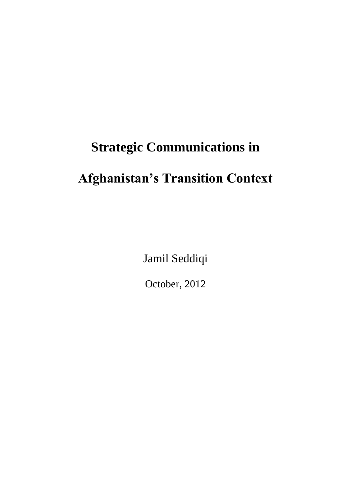## **Strategic Communications in**

# **Afghanistan's Transition Context**

Jamil Seddiqi

October, 2012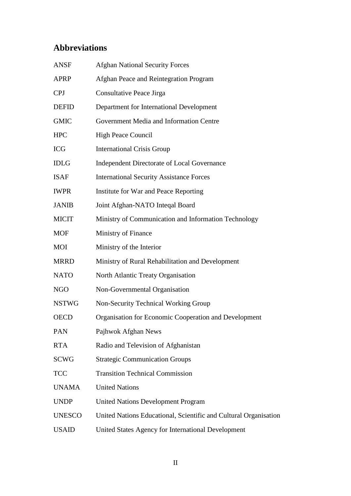## **Abbreviations**

<span id="page-1-0"></span>

| <b>ANSF</b>   | <b>Afghan National Security Forces</b>                           |
|---------------|------------------------------------------------------------------|
| <b>APRP</b>   | Afghan Peace and Reintegration Program                           |
| <b>CPJ</b>    | <b>Consultative Peace Jirga</b>                                  |
| <b>DEFID</b>  | Department for International Development                         |
| <b>GMIC</b>   | Government Media and Information Centre                          |
| <b>HPC</b>    | <b>High Peace Council</b>                                        |
| <b>ICG</b>    | <b>International Crisis Group</b>                                |
| <b>IDLG</b>   | Independent Directorate of Local Governance                      |
| <b>ISAF</b>   | <b>International Security Assistance Forces</b>                  |
| <b>IWPR</b>   | Institute for War and Peace Reporting                            |
| <b>JANIB</b>  | Joint Afghan-NATO Inteqal Board                                  |
| <b>MICIT</b>  | Ministry of Communication and Information Technology             |
| <b>MOF</b>    | Ministry of Finance                                              |
| <b>MOI</b>    | Ministry of the Interior                                         |
| <b>MRRD</b>   | Ministry of Rural Rehabilitation and Development                 |
| <b>NATO</b>   | North Atlantic Treaty Organisation                               |
| <b>NGO</b>    | Non-Governmental Organisation                                    |
| <b>NSTWG</b>  | Non-Security Technical Working Group                             |
| <b>OECD</b>   | Organisation for Economic Cooperation and Development            |
| PAN           | Pajhwok Afghan News                                              |
| <b>RTA</b>    | Radio and Television of Afghanistan                              |
| <b>SCWG</b>   | <b>Strategic Communication Groups</b>                            |
| <b>TCC</b>    | <b>Transition Technical Commission</b>                           |
| <b>UNAMA</b>  | <b>United Nations</b>                                            |
| <b>UNDP</b>   | <b>United Nations Development Program</b>                        |
| <b>UNESCO</b> | United Nations Educational, Scientific and Cultural Organisation |
| <b>USAID</b>  | United States Agency for International Development               |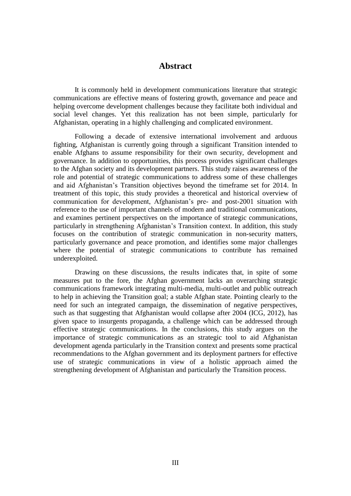## **Abstract**

It is commonly held in development communications literature that strategic communications are effective means of fostering growth, governance and peace and helping overcome development challenges because they facilitate both individual and social level changes. Yet this realization has not been simple, particularly for Afghanistan, operating in a highly challenging and complicated environment.

Following a decade of extensive international involvement and arduous fighting, Afghanistan is currently going through a significant Transition intended to enable Afghans to assume responsibility for their own security, development and governance. In addition to opportunities, this process provides significant challenges to the Afghan society and its development partners. This study raises awareness of the role and potential of strategic communications to address some of these challenges and aid Afghanistan's Transition objectives beyond the timeframe set for 2014. In treatment of this topic, this study provides a theoretical and historical overview of communication for development, Afghanistan's pre- and post-2001 situation with reference to the use of important channels of modern and traditional communications, and examines pertinent perspectives on the importance of strategic communications, particularly in strengthening Afghanistan's Transition context. In addition, this study focuses on the contribution of strategic communication in non-security matters, particularly governance and peace promotion, and identifies some major challenges where the potential of strategic communications to contribute has remained underexploited.

Drawing on these discussions, the results indicates that, in spite of some measures put to the fore, the Afghan government lacks an overarching strategic communications framework integrating multi-media, multi-outlet and public outreach to help in achieving the Transition goal; a stable Afghan state. Pointing clearly to the need for such an integrated campaign, the dissemination of negative perspectives, such as that suggesting that Afghanistan would collapse after 2004 (ICG, 2012), has given space to insurgents propaganda, a challenge which can be addressed through effective strategic communications. In the conclusions, this study argues on the importance of strategic communications as an strategic tool to aid Afghanistan development agenda particularly in the Transition context and presents some practical recommendations to the Afghan government and its deployment partners for effective use of strategic communications in view of a holistic approach aimed the strengthening development of Afghanistan and particularly the Transition process.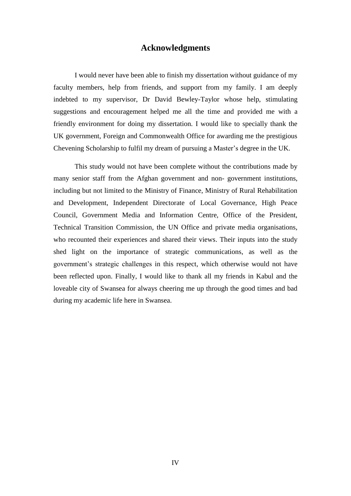## **Acknowledgments**

<span id="page-3-0"></span>I would never have been able to finish my dissertation without guidance of my faculty members, help from friends, and support from my family. I am deeply indebted to my supervisor, Dr David Bewley-Taylor whose help, stimulating suggestions and encouragement helped me all the time and provided me with a friendly environment for doing my dissertation. I would like to specially thank the UK government, Foreign and Commonwealth Office for awarding me the prestigious Chevening Scholarship to fulfil my dream of pursuing a Master's degree in the UK.

This study would not have been complete without the contributions made by many senior staff from the Afghan government and non- government institutions, including but not limited to the Ministry of Finance, Ministry of Rural Rehabilitation and Development, Independent Directorate of Local Governance, High Peace Council, Government Media and Information Centre, Office of the President, Technical Transition Commission, the UN Office and private media organisations, who recounted their experiences and shared their views. Their inputs into the study shed light on the importance of strategic communications, as well as the government's strategic challenges in this respect, which otherwise would not have been reflected upon. Finally, I would like to thank all my friends in Kabul and the loveable city of Swansea for always cheering me up through the good times and bad during my academic life here in Swansea.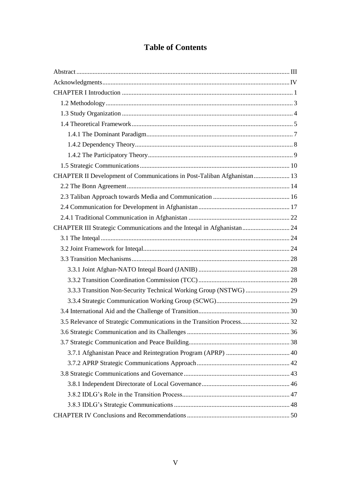## **Table of Contents**

| CHAPTER II Development of Communications in Post-Taliban Afghanistan  13 |  |
|--------------------------------------------------------------------------|--|
|                                                                          |  |
|                                                                          |  |
|                                                                          |  |
|                                                                          |  |
| CHAPTER III Strategic Communications and the Inteqal in Afghanistan  24  |  |
|                                                                          |  |
|                                                                          |  |
|                                                                          |  |
|                                                                          |  |
|                                                                          |  |
|                                                                          |  |
|                                                                          |  |
|                                                                          |  |
| 3.5 Relevance of Strategic Communications in the Transition Process 32   |  |
|                                                                          |  |
|                                                                          |  |
|                                                                          |  |
|                                                                          |  |
|                                                                          |  |
|                                                                          |  |
|                                                                          |  |
|                                                                          |  |
|                                                                          |  |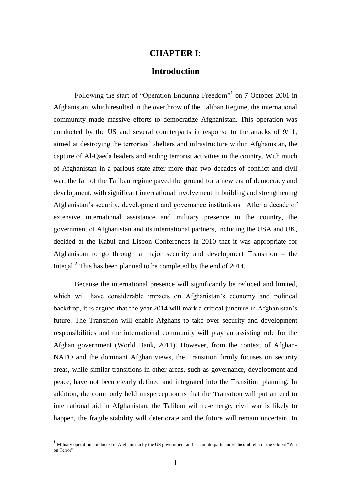## **CHAPTER I:**

## **Introduction**

<span id="page-5-0"></span>Following the start of "Operation Enduring Freedom"<sup>1</sup> on 7 October 2001 in Afghanistan, which resulted in the overthrow of the Taliban Regime, the international community made massive efforts to democratize Afghanistan. This operation was conducted by the US and several counterparts in response to the attacks of 9/11, aimed at destroying the terrorists' shelters and infrastructure within Afghanistan, the capture of Al-Qaeda leaders and ending terrorist activities in the country. With much of Afghanistan in a parlous state after more than two decades of conflict and civil war, the fall of the Taliban regime paved the ground for a new era of democracy and development, with significant international involvement in building and strengthening Afghanistan's security, development and governance institutions. After a decade of extensive international assistance and military presence in the country, the government of Afghanistan and its international partners, including the USA and UK, decided at the Kabul and Lisbon Conferences in 2010 that it was appropriate for Afghanistan to go through a major security and development Transition – the Inteqal.<sup>2</sup> This has been planned to be completed by the end of 2014.

 Because the international presence will significantly be reduced and limited, which will have considerable impacts on Afghanistan's economy and political backdrop, it is argued that the year 2014 will mark a critical juncture in Afghanistan's future. The Transition will enable Afghans to take over security and development responsibilities and the international community will play an assisting role for the Afghan government (World Bank, 2011). However, from the context of Afghan-NATO and the dominant Afghan views, the Transition firmly focuses on security areas, while similar transitions in other areas, such as governance, development and peace, have not been clearly defined and integrated into the Transition planning. In addition, the commonly held misperception is that the Transition will put an end to international aid in Afghanistan, the Taliban will re-emerge, civil war is likely to happen, the fragile stability will deteriorate and the future will remain uncertain. In

<u>.</u>

 $1$  Military operation conducted in Afghanistan by the US government and its counterparts under the umbrella of the Global "War on Terror"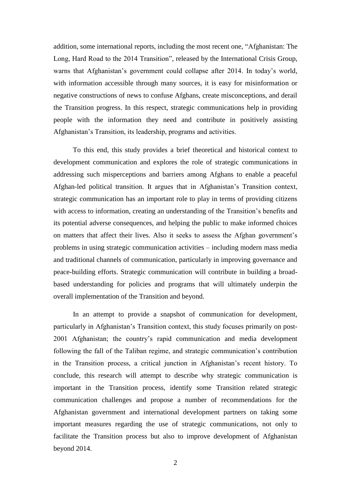addition, some international reports, including the most recent one, "Afghanistan: The Long, Hard Road to the 2014 Transition", released by the International Crisis Group, warns that Afghanistan's government could collapse after 2014. In today's world, with information accessible through many sources, it is easy for misinformation or negative constructions of news to confuse Afghans, create misconceptions, and derail the Transition progress. In this respect, strategic communications help in providing people with the information they need and contribute in positively assisting Afghanistan's Transition, its leadership, programs and activities.

 To this end, this study provides a brief theoretical and historical context to development communication and explores the role of strategic communications in addressing such misperceptions and barriers among Afghans to enable a peaceful Afghan-led political transition. It argues that in Afghanistan's Transition context, strategic communication has an important role to play in terms of providing citizens with access to information, creating an understanding of the Transition's benefits and its potential adverse consequences, and helping the public to make informed choices on matters that affect their lives. Also it seeks to assess the Afghan government's problems in using strategic communication activities – including modern mass media and traditional channels of communication, particularly in improving governance and peace-building efforts. Strategic communication will contribute in building a broadbased understanding for policies and programs that will ultimately underpin the overall implementation of the Transition and beyond.

 In an attempt to provide a snapshot of communication for development, particularly in Afghanistan's Transition context, this study focuses primarily on post-2001 Afghanistan; the country's rapid communication and media development following the fall of the Taliban regime, and strategic communication's contribution in the Transition process, a critical junction in Afghanistan's recent history. To conclude, this research will attempt to describe why strategic communication is important in the Transition process, identify some Transition related strategic communication challenges and propose a number of recommendations for the Afghanistan government and international development partners on taking some important measures regarding the use of strategic communications, not only to facilitate the Transition process but also to improve development of Afghanistan beyond 2014.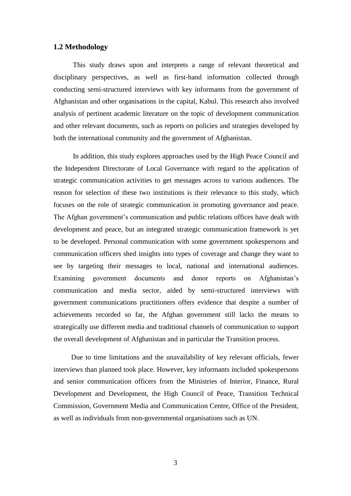### <span id="page-7-0"></span>**1.2 Methodology**

 This study draws upon and interprets a range of relevant theoretical and disciplinary perspectives, as well as first-hand information collected through conducting semi-structured interviews with key informants from the government of Afghanistan and other organisations in the capital, Kabul. This research also involved analysis of pertinent academic literature on the topic of development communication and other relevant documents, such as reports on policies and strategies developed by both the international community and the government of Afghanistan.

 In addition, this study explores approaches used by the High Peace Council and the Independent Directorate of Local Governance with regard to the application of strategic communication activities to get messages across to various audiences. The reason for selection of these two institutions is their relevance to this study, which focuses on the role of strategic communication in promoting governance and peace. The Afghan government's communication and public relations offices have dealt with development and peace, but an integrated strategic communication framework is yet to be developed. Personal communication with some government spokespersons and communication officers shed insights into types of coverage and change they want to see by targeting their messages to local, national and international audiences. Examining government documents and donor reports on Afghanistan's communication and media sector, aided by semi-structured interviews with government communications practitioners offers evidence that despite a number of achievements recorded so far, the Afghan government still lacks the means to strategically use different media and traditional channels of communication to support the overall development of Afghanistan and in particular the Transition process.

 Due to time limitations and the unavailability of key relevant officials, fewer interviews than planned took place. However, key informants included spokespersons and senior communication officers from the Ministries of Interior, Finance, Rural Development and Development, the High Council of Peace, Transition Technical Commission, Government Media and Communication Centre, Office of the President, as well as individuals from non-governmental organisations such as UN.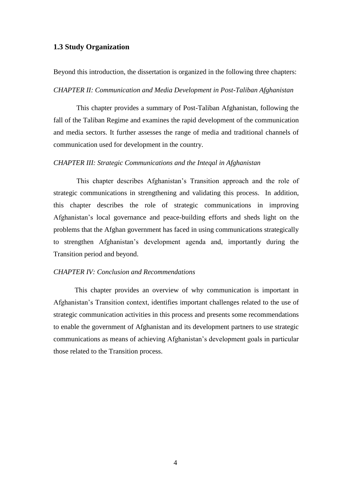## <span id="page-8-0"></span>**1.3 Study Organization**

Beyond this introduction, the dissertation is organized in the following three chapters:

#### *CHAPTER II: Communication and Media Development in Post-Taliban Afghanistan*

 This chapter provides a summary of Post-Taliban Afghanistan, following the fall of the Taliban Regime and examines the rapid development of the communication and media sectors. It further assesses the range of media and traditional channels of communication used for development in the country.

#### *CHAPTER III: Strategic Communications and the Inteqal in Afghanistan*

 This chapter describes Afghanistan's Transition approach and the role of strategic communications in strengthening and validating this process. In addition, this chapter describes the role of strategic communications in improving Afghanistan's local governance and peace-building efforts and sheds light on the problems that the Afghan government has faced in using communications strategically to strengthen Afghanistan's development agenda and, importantly during the Transition period and beyond.

### *CHAPTER IV: Conclusion and Recommendations*

 This chapter provides an overview of why communication is important in Afghanistan's Transition context, identifies important challenges related to the use of strategic communication activities in this process and presents some recommendations to enable the government of Afghanistan and its development partners to use strategic communications as means of achieving Afghanistan's development goals in particular those related to the Transition process.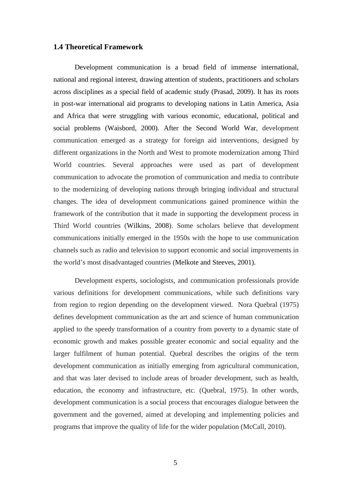## <span id="page-9-0"></span>**1.4 Theoretical Framework**

Development communication is a broad field of immense international, national and regional interest, drawing attention of students, practitioners and scholars across disciplines as a special field of academic study (Prasad, 2009). It has its roots in post-war international aid programs to developing nations in Latin America, Asia and Africa that were struggling with various economic, educational, political and social problems (Waisbord, 2000). After the Second World War, development communication emerged as a strategy for foreign aid interventions, designed by different organizations in the North and West to promote modernization among Third World countries. Several approaches were used as part of development communication to advocate the promotion of communication and media to contribute to the modernizing of developing nations through bringing individual and structural changes. The idea of development communications gained prominence within the framework of the contribution that it made in supporting the development process in Third World countries (Wilkins, 2008). Some scholars believe that development communications initially emerged in the 1950s with the hope to use communication channels such as radio and television to support economic and social improvements in the world's most disadvantaged countries (Melkote and Steeves, 2001).

Development experts, sociologists, and communication professionals provide various definitions for development communications, while such definitions vary from region to region depending on the development viewed. Nora Quebral (1975) defines development communication as the art and science of human communication applied to the speedy transformation of a country from poverty to a dynamic state of economic growth and makes possible greater economic and social equality and the larger fulfilment of human potential. Quebral describes the origins of the term development communication as initially emerging from agricultural communication, and that was later devised to include areas of broader development, such as health, education, the economy and infrastructure, etc. (Quebral, 1975). In other words, development communication is a social process that encourages dialogue between the government and the governed, aimed at developing and implementing policies and programs that improve the quality of life for the wider population (McCall, 2010).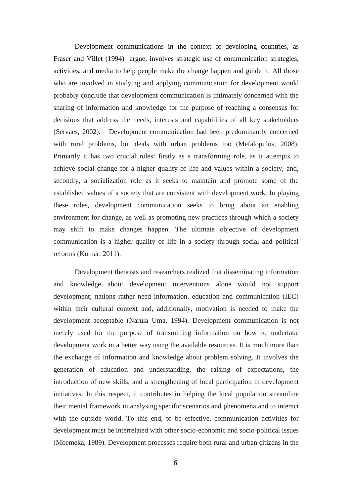Development communications in the context of developing countries, as Fraser and Villet (1994) argue, involves strategic use of communication strategies, activities, and media to help people make the change happen and guide it. All those who are involved in studying and applying communication for development would probably conclude that development communication is intimately concerned with the sharing of information and knowledge for the purpose of reaching a consensus for decisions that address the needs, interests and capabilities of all key stakeholders (Servaes, 2002). Development communication had been predominantly concerned with rural problems, but deals with urban problems too (Mefalopulos, 2008). Primarily it has two crucial roles: firstly as a transforming role, as it attempts to achieve social change for a higher quality of life and values within a society, and, secondly, a socialization role as it seeks to maintain and promote some of the established values of a society that are consistent with development work. In playing these roles, development communication seeks to bring about an enabling environment for change, as well as promoting new practices through which a society may shift to make changes happen. The ultimate objective of development communication is a higher quality of life in a society through social and political reforms (Kumar, 2011).

Development theorists and researchers realized that disseminating information and knowledge about development interventions alone would not support development; nations rather need information, education and communication (IEC) within their cultural context and, additionally, motivation is needed to make the development acceptable (Narula Uma, 1994). Development communication is not merely used for the purpose of transmitting information on how to undertake development work in a better way using the available resources. It is much more than the exchange of information and knowledge about problem solving. It involves the generation of education and understanding, the raising of expectations, the introduction of new skills, and a strengthening of local participation in development initiatives. In this respect, it contributes in helping the local population streamline their mental framework in analysing specific scenarios and phenomena and to interact with the outside world. To this end, to be effective, communication activities for development must be interrelated with other socio-economic and socio-political issues (Moemeka, 1989). Development processes require both rural and urban citizens in the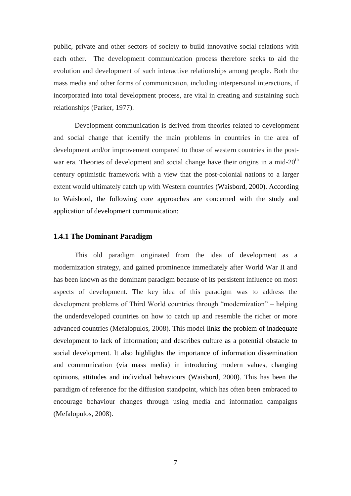public, private and other sectors of society to build innovative social relations with each other. The development communication process therefore seeks to aid the evolution and development of such interactive relationships among people. Both the mass media and other forms of communication, including interpersonal interactions, if incorporated into total development process, are vital in creating and sustaining such relationships (Parker, 1977).

Development communication is derived from theories related to development and social change that identify the main problems in countries in the area of development and/or improvement compared to those of western countries in the postwar era. Theories of development and social change have their origins in a mid- $20<sup>th</sup>$ century optimistic framework with a view that the post-colonial nations to a larger extent would ultimately catch up with Western countries (Waisbord, 2000). According to Waisbord, the following core approaches are concerned with the study and application of development communication:

## <span id="page-11-0"></span>**1.4.1 The Dominant Paradigm**

This old paradigm originated from the idea of development as a modernization strategy, and gained prominence immediately after World War II and has been known as the dominant paradigm because of its persistent influence on most aspects of development. The key idea of this paradigm was to address the development problems of Third World countries through "modernization" – helping the underdeveloped countries on how to catch up and resemble the richer or more advanced countries (Mefalopulos, 2008). This model links the problem of inadequate development to lack of information; and describes culture as a potential obstacle to social development. It also highlights the importance of information dissemination and communication (via mass media) in introducing modern values, changing opinions, attitudes and individual behaviours (Waisbord, 2000). This has been the paradigm of reference for the diffusion standpoint, which has often been embraced to encourage behaviour changes through using media and information campaigns (Mefalopulos, 2008).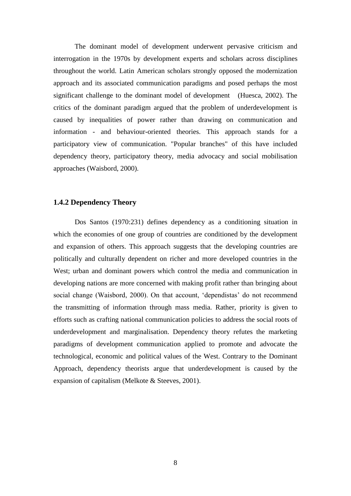The dominant model of development underwent pervasive criticism and interrogation in the 1970s by development experts and scholars across disciplines throughout the world. Latin American scholars strongly opposed the modernization approach and its associated communication paradigms and posed perhaps the most significant challenge to the dominant model of development (Huesca, 2002). The critics of the dominant paradigm argued that the problem of underdevelopment is caused by inequalities of power rather than drawing on communication and information - and behaviour-oriented theories. This approach stands for a participatory view of communication. "Popular branches" of this have included dependency theory, participatory theory, media advocacy and social mobilisation approaches (Waisbord, 2000).

## <span id="page-12-0"></span>**1.4.2 Dependency Theory**

Dos Santos (1970:231) defines dependency as a conditioning situation in which the economies of one group of countries are conditioned by the development and expansion of others. This approach suggests that the developing countries are politically and culturally dependent on richer and more developed countries in the West; urban and dominant powers which control the media and communication in developing nations are more concerned with making profit rather than bringing about social change (Waisbord, 2000). On that account, 'dependistas' do not recommend the transmitting of information through mass media. Rather, priority is given to efforts such as crafting national communication policies to address the social roots of underdevelopment and marginalisation. Dependency theory refutes the marketing paradigms of development communication applied to promote and advocate the technological, economic and political values of the West. Contrary to the Dominant Approach, dependency theorists argue that underdevelopment is caused by the expansion of capitalism (Melkote & Steeves, 2001).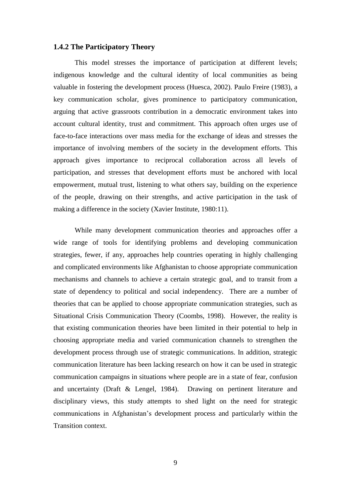#### <span id="page-13-0"></span>**1.4.2 The Participatory Theory**

This model stresses the importance of participation at different levels; indigenous knowledge and the cultural identity of local communities as being valuable in fostering the development process (Huesca, 2002). Paulo Freire (1983), a key communication scholar, gives prominence to participatory communication, arguing that active grassroots contribution in a democratic environment takes into account cultural identity, trust and commitment. This approach often urges use of face-to-face interactions over mass media for the exchange of ideas and stresses the importance of involving members of the society in the development efforts. This approach gives importance to reciprocal collaboration across all levels of participation, and stresses that development efforts must be anchored with local empowerment, mutual trust, listening to what others say, building on the experience of the people, drawing on their strengths, and active participation in the task of making a difference in the society (Xavier Institute, 1980:11).

While many development communication theories and approaches offer a wide range of tools for identifying problems and developing communication strategies, fewer, if any, approaches help countries operating in highly challenging and complicated environments like Afghanistan to choose appropriate communication mechanisms and channels to achieve a certain strategic goal, and to transit from a state of dependency to political and social independency. There are a number of theories that can be applied to choose appropriate communication strategies, such as Situational Crisis Communication Theory (Coombs, 1998). However, the reality is that existing communication theories have been limited in their potential to help in choosing appropriate media and varied communication channels to strengthen the development process through use of strategic communications. In addition, strategic communication literature has been lacking research on how it can be used in strategic communication campaigns in situations where people are in a state of fear, confusion and uncertainty (Draft & Lengel, 1984). Drawing on pertinent literature and disciplinary views, this study attempts to shed light on the need for strategic communications in Afghanistan's development process and particularly within the Transition context.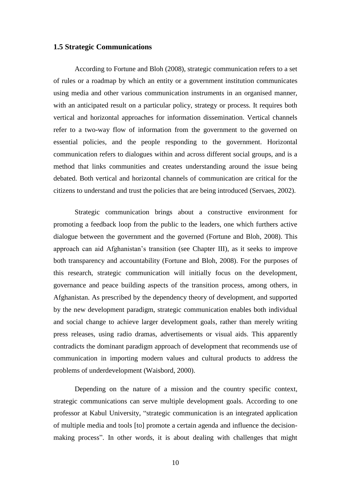## <span id="page-14-0"></span>**1.5 Strategic Communications**

According to Fortune and Bloh (2008), strategic communication refers to a set of rules or a roadmap by which an entity or a government institution communicates using media and other various communication instruments in an organised manner, with an anticipated result on a particular policy, strategy or process. It requires both vertical and horizontal approaches for information dissemination. Vertical channels refer to a two-way flow of information from the government to the governed on essential policies, and the people responding to the government. Horizontal communication refers to dialogues within and across different social groups, and is a method that links communities and creates understanding around the issue being debated. Both vertical and horizontal channels of communication are critical for the citizens to understand and trust the policies that are being introduced (Servaes, 2002).

Strategic communication brings about a constructive environment for promoting a feedback loop from the public to the leaders, one which furthers active dialogue between the government and the governed (Fortune and Bloh, 2008). This approach can aid Afghanistan's transition (see Chapter III), as it seeks to improve both transparency and accountability (Fortune and Bloh, 2008). For the purposes of this research, strategic communication will initially focus on the development, governance and peace building aspects of the transition process, among others, in Afghanistan. As prescribed by the dependency theory of development, and supported by the new development paradigm, strategic communication enables both individual and social change to achieve larger development goals, rather than merely writing press releases, using radio dramas, advertisements or visual aids. This apparently contradicts the dominant paradigm approach of development that recommends use of communication in importing modern values and cultural products to address the problems of underdevelopment (Waisbord, 2000).

Depending on the nature of a mission and the country specific context, strategic communications can serve multiple development goals. According to one professor at Kabul University, "strategic communication is an integrated application of multiple media and tools [to] promote a certain agenda and influence the decisionmaking process". In other words, it is about dealing with challenges that might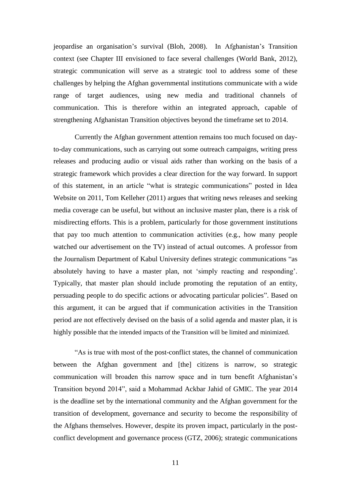jeopardise an organisation's survival (Bloh, 2008). In Afghanistan's Transition context (see Chapter III envisioned to face several challenges (World Bank, 2012), strategic communication will serve as a strategic tool to address some of these challenges by helping the Afghan governmental institutions communicate with a wide range of target audiences, using new media and traditional channels of communication. This is therefore within an integrated approach, capable of strengthening Afghanistan Transition objectives beyond the timeframe set to 2014.

Currently the Afghan government attention remains too much focused on dayto-day communications, such as carrying out some outreach campaigns, writing press releases and producing audio or visual aids rather than working on the basis of a strategic framework which provides a clear direction for the way forward. In support of this statement, in an article "what is strategic communications" posted in Idea Website on 2011, [Tom Kelleher](http://socialsciences.people.hawaii.edu/faculty/?dept=com,jour&faculty=tkell@hawaii.edu) (2011) argues that writing news releases and seeking media coverage can be useful, but without an inclusive master plan, there is a risk of misdirecting efforts. This is a problem, particularly for those government institutions that pay too much attention to communication activities (e.g., how many people watched our advertisement on the TV) instead of actual outcomes. A professor from the Journalism Department of Kabul University defines strategic communications "as absolutely having to have a master plan, not 'simply reacting and responding'. Typically, that master plan should include promoting the reputation of an entity, persuading people to do specific actions or advocating particular policies". Based on this argument, it can be argued that if communication activities in the Transition period are not effectively devised on the basis of a solid agenda and master plan, it is highly possible that the intended impacts of the Transition will be limited and minimized.

"As is true with most of the post-conflict states, the channel of communication between the Afghan government and [the] citizens is narrow, so strategic communication will broaden this narrow space and in turn benefit Afghanistan's Transition beyond 2014", said a Mohammad Ackbar Jahid of GMIC. The year 2014 is the deadline set by the international community and the Afghan government for the transition of development, governance and security to become the responsibility of the Afghans themselves. However, despite its proven impact, particularly in the postconflict development and governance process (GTZ, 2006); strategic communications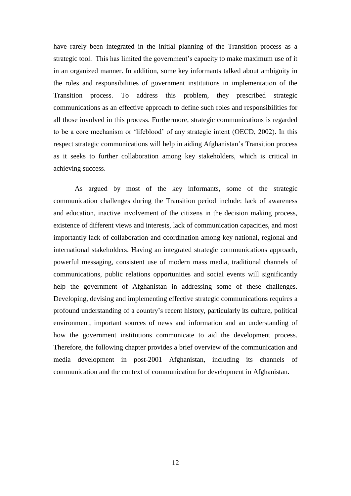have rarely been integrated in the initial planning of the Transition process as a strategic tool. This has limited the government's capacity to make maximum use of it in an organized manner. In addition, some key informants talked about ambiguity in the roles and responsibilities of government institutions in implementation of the Transition process. To address this problem, they prescribed strategic communications as an effective approach to define such roles and responsibilities for all those involved in this process. Furthermore, strategic communications is regarded to be a core mechanism or 'lifeblood' of any strategic intent (OECD, 2002). In this respect strategic communications will help in aiding Afghanistan's Transition process as it seeks to further collaboration among key stakeholders, which is critical in achieving success.

As argued by most of the key informants, some of the strategic communication challenges during the Transition period include: lack of awareness and education, inactive involvement of the citizens in the decision making process, existence of different views and interests, lack of communication capacities, and most importantly lack of collaboration and coordination among key national, regional and international stakeholders. Having an integrated strategic communications approach, powerful messaging, consistent use of modern mass media, traditional channels of communications, public relations opportunities and social events will significantly help the government of Afghanistan in addressing some of these challenges. Developing, devising and implementing effective strategic communications requires a profound understanding of a country's recent history, particularly its culture, political environment, important sources of news and information and an understanding of how the government institutions communicate to aid the development process. Therefore, the following chapter provides a brief overview of the communication and media development in post-2001 Afghanistan, including its channels of communication and the context of communication for development in Afghanistan.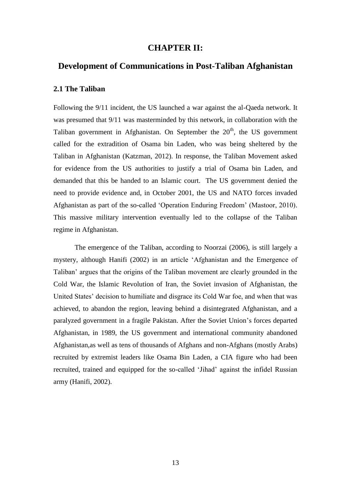## **CHAPTER II:**

## <span id="page-17-0"></span>**Development of Communications in Post-Taliban Afghanistan**

## **2.1 The Taliban**

Following the 9/11 incident, the US launched a war against the al-Qaeda network. It was presumed that 9/11 was masterminded by this network, in collaboration with the Taliban government in Afghanistan. On September the  $20<sup>th</sup>$ , the US government called for the extradition of Osama bin Laden, who was being sheltered by the Taliban in Afghanistan (Katzman, 2012). In response, the Taliban Movement asked for evidence from the US authorities to justify a trial of Osama bin Laden, and demanded that this be handed to an Islamic court. The US government denied the need to provide evidence and, in October 2001, the US and NATO forces invaded Afghanistan as part of the so-called 'Operation Enduring Freedom' (Mastoor, 2010). This massive military intervention eventually led to the collapse of the Taliban regime in Afghanistan.

The emergence of the Taliban, according to Noorzai (2006), is still largely a mystery, although Hanifi (2002) in an article 'Afghanistan and the Emergence of Taliban' argues that the origins of the Taliban movement are clearly grounded in the Cold War, the Islamic Revolution of Iran, the Soviet invasion of Afghanistan, the United States' decision to humiliate and disgrace its Cold War foe, and when that was achieved, to abandon the region, leaving behind a disintegrated Afghanistan, and a paralyzed government in a fragile Pakistan. After the Soviet Union's forces departed Afghanistan, in 1989, the US government and international community abandoned Afghanistan,as well as tens of thousands of Afghans and non-Afghans (mostly Arabs) recruited by extremist leaders like Osama Bin Laden, a CIA figure who had been recruited, trained and equipped for the so-called 'Jihad' against the infidel Russian army (Hanifi, 2002).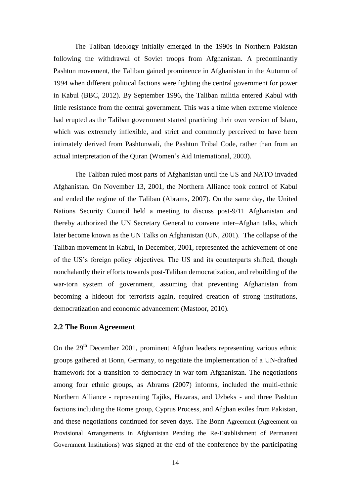The Taliban ideology initially emerged in the 1990s in Northern Pakistan following the withdrawal of Soviet troops from Afghanistan. A predominantly Pashtun movement, the Taliban gained prominence in Afghanistan in the Autumn of 1994 when different political factions were fighting the central government for power in Kabul (BBC, 2012). By September 1996, the Taliban militia entered Kabul with little resistance from the central government. This was a time when extreme violence had erupted as the Taliban government started practicing their own version of Islam, which was extremely inflexible, and strict and commonly perceived to have been intimately derived from Pashtunwali, the Pashtun Tribal Code, rather than from an actual interpretation of the Quran (Women's Aid International, 2003).

The Taliban ruled most parts of Afghanistan until the US and NATO invaded Afghanistan. On November 13, 2001, the Northern Alliance took control of Kabul and ended the regime of the Taliban (Abrams, 2007). On the same day, the United Nations Security Council held a meeting to discuss post-9/11 Afghanistan and thereby authorized the UN Secretary General to convene inter–Afghan talks, which later become known as the UN Talks on Afghanistan (UN, 2001). The collapse of the Taliban movement in Kabul, in December, 2001, represented the achievement of one of the US's foreign policy objectives. The US and its counterparts shifted, though nonchalantly their efforts towards post-Taliban democratization, and rebuilding of the war-torn system of government, assuming that preventing Afghanistan from becoming a hideout for terrorists again, required creation of strong institutions, democratization and economic advancement (Mastoor, 2010).

## <span id="page-18-0"></span>**2.2 The Bonn Agreement**

On the 29<sup>th</sup> December 2001, prominent Afghan leaders representing various ethnic groups gathered at Bonn, Germany, to negotiate the implementation of a UN-drafted framework for a transition to democracy in war-torn Afghanistan. The negotiations among four ethnic groups, as Abrams (2007) informs, included the multi-ethnic Northern Alliance - representing Tajiks, Hazaras, and Uzbeks - and three Pashtun factions including the Rome group, Cyprus Process, and Afghan exiles from Pakistan, and these negotiations continued for seven days. The Bonn Agreement (Agreement on Provisional Arrangements in Afghanistan Pending the Re-Establishment of Permanent Government Institutions) was signed at the end of the conference by the participating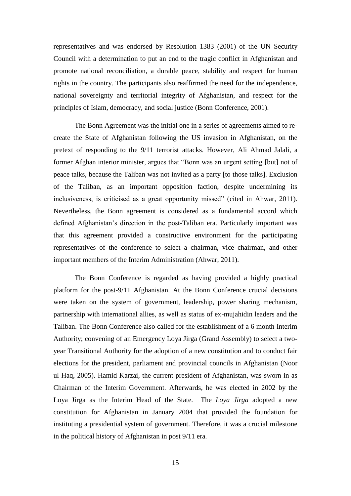representatives and was endorsed by Resolution 1383 (2001) of the UN Security Council with a determination to put an end to the tragic conflict in Afghanistan and promote national reconciliation, a durable peace, stability and respect for human rights in the country. The participants also reaffirmed the need for the independence, national sovereignty and territorial integrity of Afghanistan, and respect for the principles of Islam, democracy, and social justice (Bonn Conference, 2001).

The Bonn Agreement was the initial one in a series of agreements aimed to recreate the State of Afghanistan following the US invasion in Afghanistan, on the pretext of responding to the 9/11 terrorist attacks. However, Ali Ahmad Jalali, a former Afghan interior minister, argues that "Bonn was an urgent setting [but] not of peace talks, because the Taliban was not invited as a party [to those talks]. Exclusion of the Taliban, as an important opposition faction, despite undermining its inclusiveness, is criticised as a great opportunity missed" (cited in Ahwar, 2011). Nevertheless, the Bonn agreement is considered as a fundamental accord which defined Afghanistan's direction in the post-Taliban era. Particularly important was that this agreement provided a constructive environment for the participating representatives of the conference to select a chairman, vice chairman, and other important members of the Interim Administration (Ahwar, 2011).

The Bonn Conference is regarded as having provided a highly practical platform for the post-9/11 Afghanistan. At the Bonn Conference crucial decisions were taken on the system of government, leadership, power sharing mechanism, partnership with international allies, as well as status of ex-mujahidin leaders and the Taliban. The Bonn Conference also called for the establishment of a 6 month Interim Authority; convening of an Emergency Loya Jirga (Grand Assembly) to select a twoyear Transitional Authority for the adoption of a new constitution and to conduct fair elections for the president, parliament and provincial councils in Afghanistan (Noor ul Haq, 2005). Hamid Karzai, the current president of Afghanistan, was sworn in as Chairman of the Interim Government. Afterwards, he was elected in 2002 by the Loya Jirga as the Interim Head of the State. The *Loya Jirga* adopted a new constitution for Afghanistan in January 2004 that provided the foundation for instituting a presidential system of government. Therefore, it was a crucial milestone in the political history of Afghanistan in post 9/11 era.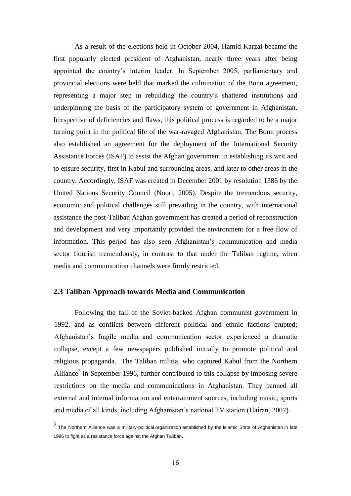As a result of the elections held in October 2004, Hamid Karzai became the first popularly elected president of Afghanistan, nearly three years after being appointed the country's interim leader. In September 2005, parliamentary and provincial elections were held that marked the culmination of the Bonn agreement, representing a major step in rebuilding the country's shattered institutions and underpinning the basis of the participatory system of government in Afghanistan. Irrespective of deficiencies and flaws, this political process is regarded to be a major turning point in the political life of the war-ravaged Afghanistan. The Bonn process also established an agreement for the deployment of the International Security Assistance Forces (ISAF) to assist the Afghan government in establishing its writ and to ensure security, first in Kabul and surrounding areas, and later to other areas in the country. Accordingly, ISAF was created in December 2001 by resolution 1386 by the United Nations Security Council (Noori, 2005). Despite the tremendous security, economic and political challenges still prevailing in the country, with international assistance the post-Taliban Afghan government has created a period of reconstruction and development and very importantly provided the environment for a free flow of information. This period has also seen Afghanistan's communication and media sector flourish tremendously, in contrast to that under the Taliban regime, when media and communication channels were firmly restricted.

## <span id="page-20-0"></span>**2.3 Taliban Approach towards Media and Communication**

Following the fall of the Soviet-backed Afghan communist government in 1992, and as conflicts between different political and ethnic factions erupted; Afghanistan's fragile media and communication sector experienced a dramatic collapse, except a few newspapers published initially to promote political and religious propaganda. The Taliban militia, who captured Kabul from the Northern Alliance<sup>3</sup> in September 1996, further contributed to this collapse by imposing severe restrictions on the media and communications in Afghanistan. They banned all external and internal information and entertainment sources, including music, sports and media of all kinds, including Afghanistan's national TV station (Hairan, 2007).

 3 The Northern Alliance was a military-political [organization](http://en.wikipedia.org/wiki/Umbrella_organization) established by the [Islamic State of Afghanistan](http://en.wikipedia.org/wiki/Islamic_State_of_Afghanistan) in late <sup>1996</sup> to fight as a resistance force against the Afghan [Taliban](http://en.wikipedia.org/wiki/Taliban).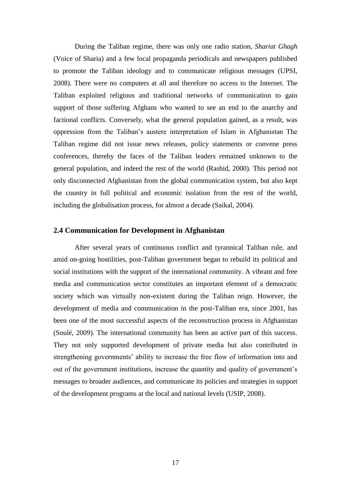During the Taliban regime, there was only one radio station, *Shariat Ghagh* (Voice of Sharia) and a few local propaganda periodicals and newspapers published to promote the Taliban ideology and to communicate religious messages (UPSI, 2008). There were no computers at all and therefore no access to the Internet. The Taliban exploited religious and traditional networks of communication to gain support of those suffering Afghans who wanted to see an end to the anarchy and factional conflicts. Conversely, what the general population gained, as a result, was oppression from the Taliban's austere interpretation of Islam in Afghanistan The Taliban regime did not issue news releases, policy statements or convene press conferences, thereby the faces of the Taliban leaders remained unknown to the general population, and indeed the rest of the world (Rashid, 2000). This period not only disconnected Afghanistan from the global communication system, but also kept the country in full political and economic isolation from the rest of the world, including the globalisation process, for almost a decade (Saikal, 2004).

## <span id="page-21-0"></span>**2.4 Communication for Development in Afghanistan**

After several years of continuous conflict and tyrannical Taliban rule, and amid on-going hostilities, post-Taliban government began to rebuild its political and social institutions with the support of the international community. A vibrant and free media and communication sector constitutes an important element of a democratic society which was virtually non-existent during the Taliban reign. However, the development of media and communication in the post-Taliban era, since 2001, has been one of the most successful aspects of the reconstruction process in Afghanistan (Soulé, 2009). The international community has been an active part of this success. They not only supported development of private media but also contributed in strengthening governments' ability to increase the free flow of information into and out of the government institutions, increase the quantity and quality of government's messages to broader audiences, and communicate its policies and strategies in support of the development programs at the local and national levels (USIP, 2008).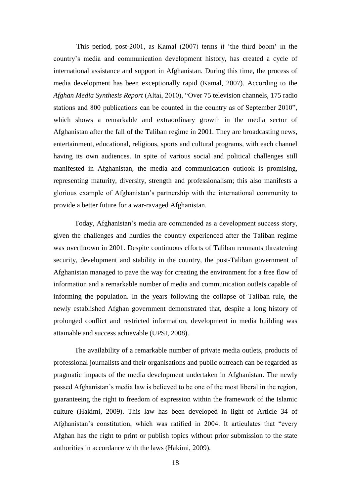This period, post-2001, as Kamal (2007) terms it 'the third boom' in the country's media and communication development history, has created a cycle of international assistance and support in Afghanistan. During this time, the process of media development has been exceptionally rapid (Kamal, 2007). According to the *Afghan Media Synthesis Report* (Altai, 2010), "Over 75 television channels, 175 radio stations and 800 publications can be counted in the country as of September 2010", which shows a remarkable and extraordinary growth in the media sector of Afghanistan after the fall of the Taliban regime in 2001. They are broadcasting news, entertainment, educational, religious, sports and cultural programs, with each channel having its own audiences. In spite of various social and political challenges still manifested in Afghanistan, the media and communication outlook is promising, representing maturity, diversity, strength and professionalism; this also manifests a glorious example of Afghanistan's partnership with the international community to provide a better future for a war-ravaged Afghanistan.

Today, Afghanistan's media are commended as a development success story, given the challenges and hurdles the country experienced after the Taliban regime was overthrown in 2001. Despite continuous efforts of Taliban remnants threatening security, development and stability in the country, the post-Taliban government of Afghanistan managed to pave the way for creating the environment for a free flow of information and a remarkable number of media and communication outlets capable of informing the population. In the years following the collapse of Taliban rule, the newly established Afghan government demonstrated that, despite a long history of prolonged conflict and restricted information, development in media building was attainable and success achievable (UPSI, 2008).

The availability of a remarkable number of private media outlets, products of professional journalists and their organisations and public outreach can be regarded as pragmatic impacts of the media development undertaken in Afghanistan. The newly passed Afghanistan's media law is believed to be one of the most liberal in the region, guaranteeing the right to freedom of expression within the framework of the Islamic culture (Hakimi, 2009). This law has been developed in light of Article 34 of Afghanistan's constitution, which was ratified in 2004. It articulates that "every Afghan has the right to print or publish topics without prior submission to the state authorities in accordance with the laws (Hakimi, 2009).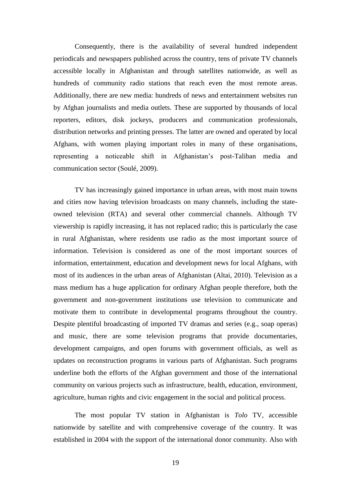Consequently, there is the availability of several hundred independent periodicals and newspapers published across the country, tens of private TV channels accessible locally in Afghanistan and through satellites nationwide, as well as hundreds of community radio stations that reach even the most remote areas. Additionally, there are new media: hundreds of news and entertainment websites run by Afghan journalists and media outlets. These are supported by thousands of local reporters, editors, disk jockeys, producers and communication professionals, distribution networks and printing presses. The latter are owned and operated by local Afghans, with women playing important roles in many of these organisations, representing a noticeable shift in Afghanistan's post-Taliban media and communication sector (Soulé, 2009).

TV has increasingly gained importance in urban areas, with most main towns and cities now having television broadcasts on many channels, including the stateowned television (RTA) and several other commercial channels. Although TV viewership is rapidly increasing, it has not replaced radio; this is particularly the case in rural Afghanistan, where residents use radio as the most important source of information. Television is considered as one of the most important sources of information, entertainment, education and development news for local Afghans, with most of its audiences in the urban areas of Afghanistan (Altai, 2010). Television as a mass medium has a huge application for ordinary Afghan people therefore, both the government and non-government institutions use television to communicate and motivate them to contribute in developmental programs throughout the country. Despite plentiful broadcasting of imported TV dramas and series (e.g., soap operas) and music, there are some television programs that provide documentaries, development campaigns, and open forums with government officials, as well as updates on reconstruction programs in various parts of Afghanistan. Such programs underline both the efforts of the Afghan government and those of the international community on various projects such as infrastructure, health, education, environment, agriculture, human rights and civic engagement in the social and political process.

The most popular TV station in Afghanistan is *Tolo* TV, accessible nationwide by satellite and with comprehensive coverage of the country. It was established in 2004 with the support of the international donor community. Also with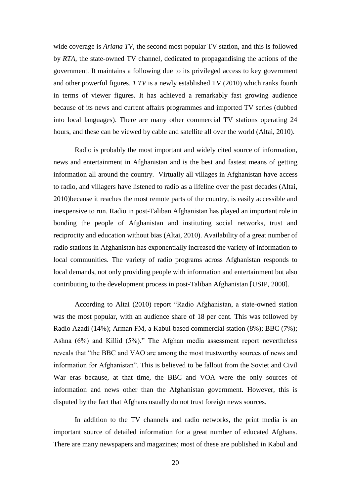wide coverage is *Ariana TV*, the second most popular TV station, and this is followed by *RTA*, the state-owned TV channel, dedicated to propagandising the actions of the government. It maintains a following due to its privileged access to key government and other powerful figures. *1 TV* is a newly established TV (2010) which ranks fourth in terms of viewer figures. It has achieved a remarkably fast growing audience because of its news and current affairs programmes and imported TV series (dubbed into local languages). There are many other commercial TV stations operating 24 hours, and these can be viewed by cable and satellite all over the world (Altai, 2010).

Radio is probably the most important and widely cited source of information, news and entertainment in Afghanistan and is the best and fastest means of getting information all around the country. Virtually all villages in Afghanistan have access to radio, and villagers have listened to radio as a lifeline over the past decades (Altai, 2010)because it reaches the most remote parts of the country, is easily accessible and inexpensive to run. Radio in post-Taliban Afghanistan has played an important role in bonding the people of Afghanistan and instituting social networks, trust and reciprocity and education without bias (Altai, 2010). Availability of a great number of radio stations in Afghanistan has exponentially increased the variety of information to local communities. The variety of radio programs across Afghanistan responds to local demands, not only providing people with information and entertainment but also contributing to the development process in post-Taliban Afghanistan [USIP, 2008].

According to Altai (2010) report "Radio Afghanistan, a state-owned station was the most popular, with an audience share of 18 per cent. This was followed by Radio Azadi (14%); Arman FM, a Kabul-based commercial station (8%); BBC (7%); Ashna (6%) and Killid (5%)." The Afghan media assessment report nevertheless reveals that "the BBC and VAO are among the most trustworthy sources of news and information for Afghanistan". This is believed to be fallout from the Soviet and Civil War eras because, at that time, the BBC and VOA were the only sources of information and news other than the Afghanistan government. However, this is disputed by the fact that Afghans usually do not trust foreign news sources.

In addition to the TV channels and radio networks, the print media is an important source of detailed information for a great number of educated Afghans. There are many newspapers and magazines; most of these are published in Kabul and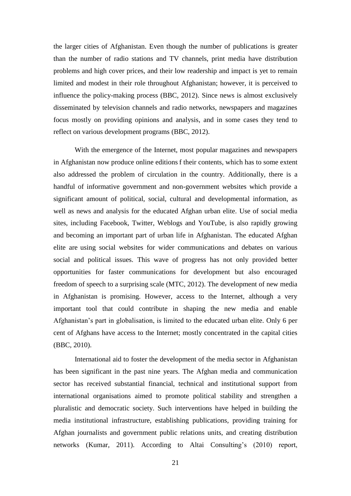the larger cities of Afghanistan. Even though the number of publications is greater than the number of radio stations and TV channels, print media have distribution problems and high cover prices, and their low readership and impact is yet to remain limited and modest in their role throughout Afghanistan; however, it is perceived to influence the policy-making process (BBC, 2012). Since news is almost exclusively disseminated by television channels and radio networks, newspapers and magazines focus mostly on providing opinions and analysis, and in some cases they tend to reflect on various development programs (BBC, 2012).

With the emergence of the Internet, most popular magazines and newspapers in Afghanistan now produce online editions f their contents, which has to some extent also addressed the problem of circulation in the country. Additionally, there is a handful of informative government and non-government websites which provide a significant amount of political, social, cultural and developmental information, as well as news and analysis for the educated Afghan urban elite. Use of social media sites, including Facebook, Twitter, Weblogs and YouTube, is also rapidly growing and becoming an important part of urban life in Afghanistan. The educated Afghan elite are using social websites for wider communications and debates on various social and political issues. This wave of progress has not only provided better opportunities for faster communications for development but also encouraged freedom of speech to a surprising scale (MTC, 2012). The development of new media in Afghanistan is promising. However, access to the Internet, although a very important tool that could contribute in shaping the new media and enable Afghanistan's part in globalisation, is limited to the educated urban elite. Only 6 per cent of Afghans have access to the Internet; mostly concentrated in the capital cities (BBC, 2010).

International aid to foster the development of the media sector in Afghanistan has been significant in the past nine years. The Afghan media and communication sector has received substantial financial, technical and institutional support from international organisations aimed to promote political stability and strengthen a pluralistic and democratic society. Such interventions have helped in building the media institutional infrastructure, establishing publications, providing training for Afghan journalists and government public relations units, and creating distribution networks (Kumar, 2011). According to Altai Consulting's (2010) report,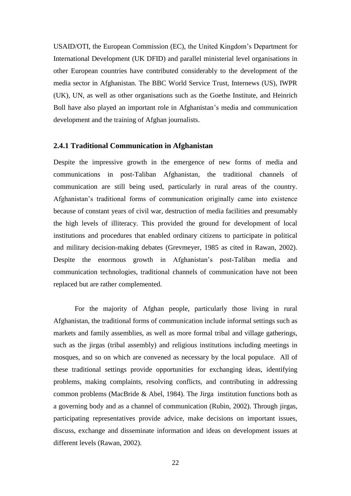USAID/OTI, the European Commission (EC), the United Kingdom's Department for International Development (UK DFID) and parallel ministerial level organisations in other European countries have contributed considerably to the development of the media sector in Afghanistan. The BBC World Service Trust, Internews (US), IWPR (UK), UN, as well as other organisations such as the Goethe Institute, and Heinrich Boll have also played an important role in Afghanistan's media and communication development and the training of Afghan journalists.

## <span id="page-26-0"></span>**2.4.1 Traditional Communication in Afghanistan**

Despite the impressive growth in the emergence of new forms of media and communications in post-Taliban Afghanistan, the traditional channels of communication are still being used, particularly in rural areas of the country. Afghanistan's traditional forms of communication originally came into existence because of constant years of civil war, destruction of media facilities and presumably the high levels of illiteracy. This provided the ground for development of local institutions and procedures that enabled ordinary citizens to participate in political and military decision-making debates (Grevmeyer, 1985 as cited in Rawan, 2002). Despite the enormous growth in Afghanistan's post-Taliban media and communication technologies, traditional channels of communication have not been replaced but are rather complemented.

For the majority of Afghan people, particularly those living in rural Afghanistan, the traditional forms of communication include informal settings such as markets and family assemblies, as well as more formal tribal and village gatherings, such as the jirgas (tribal assembly) and religious institutions including meetings in mosques, and so on which are convened as necessary by the local populace. All of these traditional settings provide opportunities for exchanging ideas, identifying problems, making complaints, resolving conflicts, and contributing in addressing common problems (MacBride & Abel, 1984). The Jirga institution functions both as a governing body and as a channel of communication (Rubin, 2002). Through jirgas, participating representatives provide advice, make decisions on important issues, discuss, exchange and disseminate information and ideas on development issues at different levels (Rawan, 2002).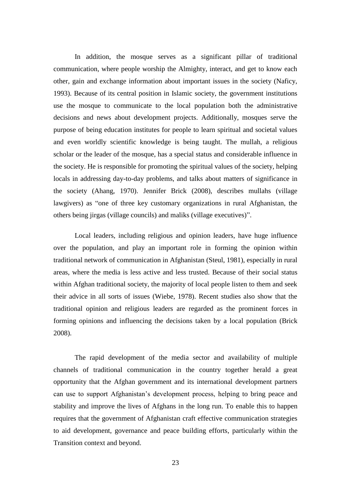In addition, the mosque serves as a significant pillar of traditional communication, where people worship the Almighty, interact, and get to know each other, gain and exchange information about important issues in the society (Naficy, 1993). Because of its central position in Islamic society, the government institutions use the mosque to communicate to the local population both the administrative decisions and news about development projects. Additionally, mosques serve the purpose of being education institutes for people to learn spiritual and societal values and even worldly scientific knowledge is being taught. The mullah, a religious scholar or the leader of the mosque, has a special status and considerable influence in the society. He is responsible for promoting the spiritual values of the society, helping locals in addressing day-to-day problems, and talks about matters of significance in the society (Ahang, 1970). Jennifer Brick (2008), describes mullahs (village lawgivers) as "one of three key customary organizations in rural Afghanistan, the others being jirgas (village councils) and maliks (village executives)".

Local leaders, including religious and opinion leaders, have huge influence over the population, and play an important role in forming the opinion within traditional network of communication in Afghanistan (Steul, 1981), especially in rural areas, where the media is less active and less trusted. Because of their social status within Afghan traditional society, the majority of local people listen to them and seek their advice in all sorts of issues (Wiebe, 1978). Recent studies also show that the traditional opinion and religious leaders are regarded as the prominent forces in forming opinions and influencing the decisions taken by a local population (Brick 2008).

The rapid development of the media sector and availability of multiple channels of traditional communication in the country together herald a great opportunity that the Afghan government and its international development partners can use to support Afghanistan's development process, helping to bring peace and stability and improve the lives of Afghans in the long run. To enable this to happen requires that the government of Afghanistan craft effective communication strategies to aid development, governance and peace building efforts, particularly within the Transition context and beyond.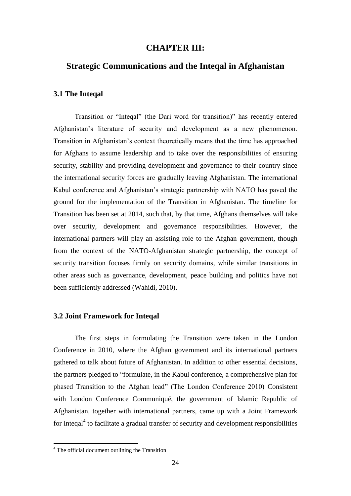## **CHAPTER III:**

## <span id="page-28-0"></span>**Strategic Communications and the Inteqal in Afghanistan**

## <span id="page-28-1"></span>**3.1 The Inteqal**

Transition or "Inteqal" (the Dari word for transition)" has recently entered Afghanistan's literature of security and development as a new phenomenon. Transition in Afghanistan's context theoretically means that the time has approached for Afghans to assume leadership and to take over the responsibilities of ensuring security, stability and providing development and governance to their country since the international security forces are gradually leaving Afghanistan. The international Kabul conference and Afghanistan's strategic partnership with NATO has paved the ground for the implementation of the Transition in Afghanistan. The timeline for Transition has been set at 2014, such that, by that time, Afghans themselves will take over security, development and governance responsibilities. However, the international partners will play an assisting role to the Afghan government, though from the context of the NATO-Afghanistan strategic partnership, the concept of security transition focuses firmly on security domains, while similar transitions in other areas such as governance, development, peace building and politics have not been sufficiently addressed (Wahidi, 2010).

#### <span id="page-28-2"></span>**3.2 Joint Framework for Inteqal**

The first steps in formulating the Transition were taken in the London Conference in 2010, where the Afghan government and its international partners gathered to talk about future of Afghanistan. In addition to other essential decisions, the partners pledged to "formulate, in the Kabul conference, a comprehensive plan for phased Transition to the Afghan lead" (The London Conference 2010) Consistent with London Conference Communiqué, the government of Islamic Republic of Afghanistan, together with international partners, came up with a Joint Framework for Inteqal<sup>4</sup> to facilitate a gradual transfer of security and development responsibilities

1

<sup>&</sup>lt;sup>4</sup> The official document outlining the Transition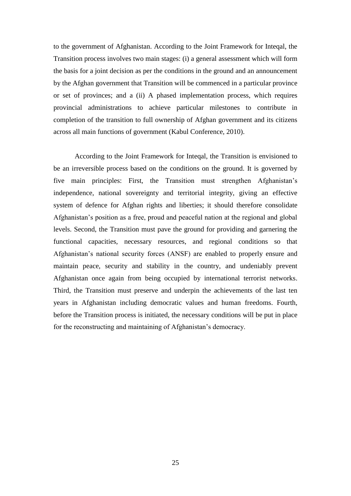to the government of Afghanistan. According to the Joint Framework for Inteqal, the Transition process involves two main stages: (i) a general assessment which will form the basis for a joint decision as per the conditions in the ground and an announcement by the Afghan government that Transition will be commenced in a particular province or set of provinces; and a (ii) A phased implementation process, which requires provincial administrations to achieve particular milestones to contribute in completion of the transition to full ownership of Afghan government and its citizens across all main functions of government (Kabul Conference, 2010).

According to the Joint Framework for Inteqal, the Transition is envisioned to be an irreversible process based on the conditions on the ground. It is governed by five main principles: First, the Transition must strengthen Afghanistan's independence, national sovereignty and territorial integrity, giving an effective system of defence for Afghan rights and liberties; it should therefore consolidate Afghanistan's position as a free, proud and peaceful nation at the regional and global levels. Second, the Transition must pave the ground for providing and garnering the functional capacities, necessary resources, and regional conditions so that Afghanistan's national security forces (ANSF) are enabled to properly ensure and maintain peace, security and stability in the country, and undeniably prevent Afghanistan once again from being occupied by international terrorist networks. Third, the Transition must preserve and underpin the achievements of the last ten years in Afghanistan including democratic values and human freedoms. Fourth, before the Transition process is initiated, the necessary conditions will be put in place for the reconstructing and maintaining of Afghanistan's democracy.

25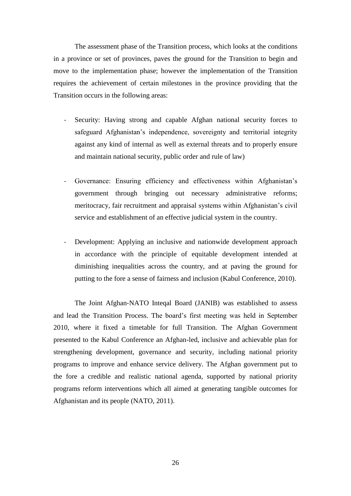The assessment phase of the Transition process, which looks at the conditions in a province or set of provinces, paves the ground for the Transition to begin and move to the implementation phase; however the implementation of the Transition requires the achievement of certain milestones in the province providing that the Transition occurs in the following areas:

- Security: Having strong and capable Afghan national security forces to safeguard Afghanistan's independence, sovereignty and territorial integrity against any kind of internal as well as external threats and to properly ensure and maintain national security, public order and rule of law)
- Governance: Ensuring efficiency and effectiveness within Afghanistan's government through bringing out necessary administrative reforms; meritocracy, fair recruitment and appraisal systems within Afghanistan's civil service and establishment of an effective judicial system in the country.
- Development: Applying an inclusive and nationwide development approach in accordance with the principle of equitable development intended at diminishing inequalities across the country, and at paving the ground for putting to the fore a sense of fairness and inclusion (Kabul Conference, 2010).

The Joint Afghan‐NATO Inteqal Board (JANIB) was established to assess and lead the Transition Process. The board's first meeting was held in September 2010, where it fixed a timetable for full Transition. The Afghan Government presented to the Kabul Conference an Afghan-led, inclusive and achievable plan for strengthening development, governance and security, including national priority programs to improve and enhance service delivery. The Afghan government put to the fore a credible and realistic national agenda, supported by national priority programs reform interventions which all aimed at generating tangible outcomes for Afghanistan and its people (NATO, 2011).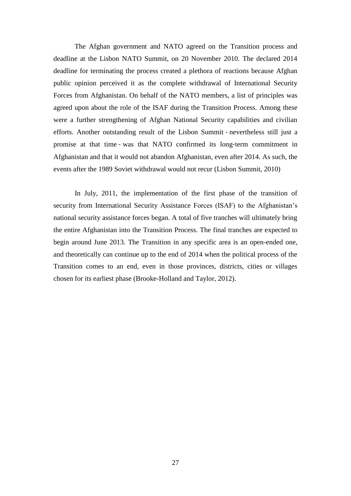The Afghan government and NATO agreed on the Transition process and deadline at the Lisbon NATO Summit, on 20 November 2010. The declared 2014 deadline for terminating the process created a plethora of reactions because Afghan public opinion perceived it as the complete withdrawal of International Security Forces from Afghanistan. On behalf of the NATO members, a list of principles was agreed upon about the role of the ISAF during the Transition Process. Among these were a further strengthening of Afghan National Security capabilities and civilian efforts. Another outstanding result of the Lisbon Summit ‐ nevertheless still just a promise at that time ‐ was that NATO confirmed its long‐term commitment in Afghanistan and that it would not abandon Afghanistan, even after 2014. As such, the events after the 1989 Soviet withdrawal would not recur (Lisbon Summit, 2010)

In July, 2011, the implementation of the first phase of the transition of security from International Security Assistance Forces (ISAF) to the Afghanistan's national security assistance forces began. A total of five tranches will ultimately bring the entire Afghanistan into the Transition Process. The final tranches are expected to begin around June 2013. The Transition in any specific area is an open-ended one, and theoretically can continue up to the end of 2014 when the political process of the Transition comes to an end, even in those provinces, districts, cities or villages chosen for its earliest phase (Brooke-Holland and Taylor, 2012).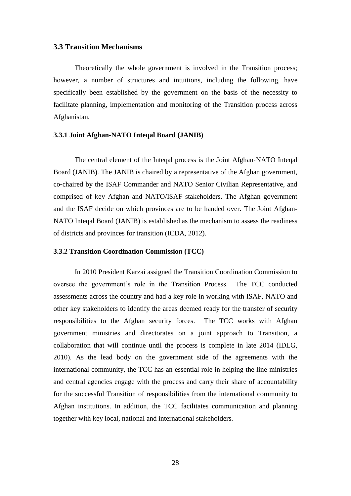## <span id="page-32-0"></span>**3.3 Transition Mechanisms**

Theoretically the whole government is involved in the Transition process; however, a number of structures and intuitions, including the following, have specifically been established by the government on the basis of the necessity to facilitate planning, implementation and monitoring of the Transition process across Afghanistan.

#### <span id="page-32-1"></span>**3.3.1 Joint Afghan**‐**NATO Inteqal Board (JANIB)**

The central element of the Inteqal process is the Joint Afghan‐NATO Inteqal Board (JANIB). The JANIB is chaired by a representative of the Afghan government, co‐chaired by the ISAF Commander and NATO Senior Civilian Representative, and comprised of key Afghan and NATO/ISAF stakeholders. The Afghan government and the ISAF decide on which provinces are to be handed over. The Joint Afghan-NATO Inteqal Board (JANIB) is established as the mechanism to assess the readiness of districts and provinces for transition (ICDA, 2012).

#### <span id="page-32-2"></span>**3.3.2 Transition Coordination Commission (TCC)**

In 2010 President Karzai assigned the Transition Coordination Commission to oversee the government's role in the Transition Process. The TCC conducted assessments across the country and had a key role in working with ISAF, NATO and other key stakeholders to identify the areas deemed ready for the transfer of security responsibilities to the Afghan security forces. The TCC works with Afghan government ministries and directorates on a joint approach to Transition, a collaboration that will continue until the process is complete in late 2014 (IDLG, 2010). As the lead body on the government side of the agreements with the international community, the TCC has an essential role in helping the line ministries and central agencies engage with the process and carry their share of accountability for the successful Transition of responsibilities from the international community to Afghan institutions. In addition, the TCC facilitates communication and planning together with key local, national and international stakeholders.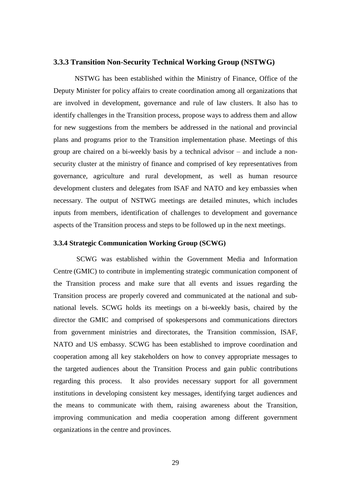## <span id="page-33-0"></span>**3.3.3 Transition Non-Security Technical Working Group (NSTWG)**

NSTWG has been established within the Ministry of Finance, Office of the Deputy Minister for policy affairs to create coordination among all organizations that are involved in development, governance and rule of law clusters. It also has to identify challenges in the Transition process, propose ways to address them and allow for new suggestions from the members be addressed in the national and provincial plans and programs prior to the Transition implementation phase. Meetings of this group are chaired on a bi-weekly basis by a technical advisor – and include a nonsecurity cluster at the ministry of finance and comprised of key representatives from governance, agriculture and rural development, as well as human resource development clusters and delegates from ISAF and NATO and key embassies when necessary. The output of NSTWG meetings are detailed minutes, which includes inputs from members, identification of challenges to development and governance aspects of the Transition process and steps to be followed up in the next meetings.

#### <span id="page-33-1"></span>**3.3.4 Strategic Communication Working Group (SCWG)**

SCWG was established within the Government Media and Information Centre (GMIC) to contribute in implementing strategic communication component of the Transition process and make sure that all events and issues regarding the Transition process are properly covered and communicated at the national and subnational levels. SCWG holds its meetings on a bi-weekly basis, chaired by the director the GMIC and comprised of spokespersons and communications directors from government ministries and directorates, the Transition commission, ISAF, NATO and US embassy. SCWG has been established to improve coordination and cooperation among all key stakeholders on how to convey appropriate messages to the targeted audiences about the Transition Process and gain public contributions regarding this process. It also provides necessary support for all government institutions in developing consistent key messages, identifying target audiences and the means to communicate with them, raising awareness about the Transition, improving communication and media cooperation among different government organizations in the centre and provinces.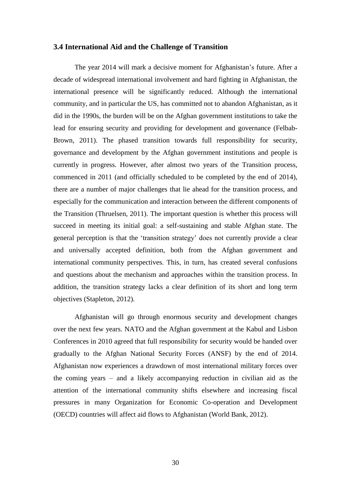## <span id="page-34-0"></span>**3.4 International Aid and the Challenge of Transition**

The year 2014 will mark a decisive moment for Afghanistan's future. After a decade of widespread international involvement and hard fighting in Afghanistan, the international presence will be significantly reduced. Although the international community, and in particular the US, has committed not to abandon Afghanistan, as it did in the 1990s, the burden will be on the Afghan government institutions to take the lead for ensuring security and providing for development and governance (Felbab-Brown, 2011). The phased transition towards full responsibility for security, governance and development by the Afghan government institutions and people is currently in progress. However, after almost two years of the Transition process, commenced in 2011 (and officially scheduled to be completed by the end of 2014), there are a number of major challenges that lie ahead for the transition process, and especially for the communication and interaction between the different components of the Transition (Thruelsen, 2011). The important question is whether this process will succeed in meeting its initial goal: a self-sustaining and stable Afghan state. The general perception is that the 'transition strategy' does not currently provide a clear and universally accepted definition, both from the Afghan government and international community perspectives. This, in turn, has created several confusions and questions about the mechanism and approaches within the transition process. In addition, the transition strategy lacks a clear definition of its short and long term objectives (Stapleton, 2012).

Afghanistan will go through enormous security and development changes over the next few years. NATO and the Afghan government at the Kabul and Lisbon Conferences in 2010 agreed that full responsibility for security would be handed over gradually to the Afghan National Security Forces (ANSF) by the end of 2014. Afghanistan now experiences a drawdown of most international military forces over the coming years  $-$  and a likely accompanying reduction in civilian aid as the attention of the international community shifts elsewhere and increasing fiscal pressures in many Organization for Economic Co-operation and Development (OECD) countries will affect aid flows to Afghanistan (World Bank, 2012).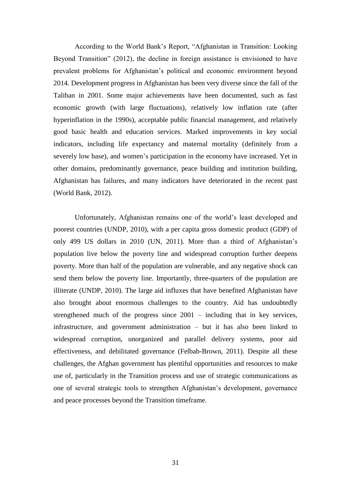According to the World Bank's Report, "Afghanistan in Transition: Looking Beyond Transition" (2012), the decline in foreign assistance is envisioned to have prevalent problems for Afghanistan's political and economic environment beyond 2014. Development progress in Afghanistan has been very diverse since the fall of the Taliban in 2001. Some major achievements have been documented, such as fast economic growth (with large fluctuations), relatively low inflation rate (after hyperinflation in the 1990s), acceptable public financial management, and relatively good basic health and education services. Marked improvements in key social indicators, including life expectancy and maternal mortality (definitely from a severely low base), and women's participation in the economy have increased. Yet in other domains, predominantly governance, peace building and institution building, Afghanistan has failures, and many indicators have deteriorated in the recent past (World Bank, 2012).

Unfortunately, Afghanistan remains one of the world's least developed and poorest countries (UNDP, 2010), with a per capita gross domestic product (GDP) of only 499 US dollars in 2010 (UN, 2011). More than a third of Afghanistan's population live below the poverty line and widespread corruption further deepens poverty. More than half of the population are vulnerable, and any negative shock can send them below the poverty line. Importantly, three-quarters of the population are illiterate (UNDP, 2010). The large aid influxes that have benefited Afghanistan have also brought about enormous challenges to the country. Aid has undoubtedly strengthened much of the progress since  $2001$  – including that in key services, infrastructure, and government administration  $-$  but it has also been linked to widespread corruption, unorganized and parallel delivery systems, poor aid effectiveness, and debilitated governance (Felbab-Brown, 2011). Despite all these challenges, the Afghan government has plentiful opportunities and resources to make use of, particularly in the Transition process and use of strategic communications as one of several strategic tools to strengthen Afghanistan's development, governance and peace processes beyond the Transition timeframe.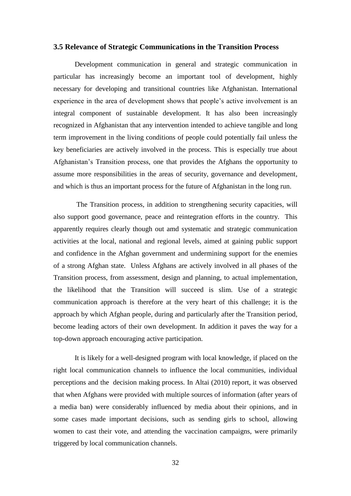## <span id="page-36-0"></span>**3.5 Relevance of Strategic Communications in the Transition Process**

Development communication in general and strategic communication in particular has increasingly become an important tool of development, highly necessary for developing and transitional countries like Afghanistan. International experience in the area of development shows that people's active involvement is an integral component of sustainable development. It has also been increasingly recognized in Afghanistan that any intervention intended to achieve tangible and long term improvement in the living conditions of people could potentially fail unless the key beneficiaries are actively involved in the process. This is especially true about Afghanistan's Transition process, one that provides the Afghans the opportunity to assume more responsibilities in the areas of security, governance and development, and which is thus an important process for the future of Afghanistan in the long run.

The Transition process, in addition to strengthening security capacities, will also support good governance, peace and reintegration efforts in the country. This apparently requires clearly though out amd systematic and strategic communication activities at the local, national and regional levels, aimed at gaining public support and confidence in the Afghan government and undermining support for the enemies of a strong Afghan state. Unless Afghans are actively involved in all phases of the Transition process, from assessment, design and planning, to actual implementation, the likelihood that the Transition will succeed is slim. Use of a strategic communication approach is therefore at the very heart of this challenge; it is the approach by which Afghan people, during and particularly after the Transition period, become leading actors of their own development. In addition it paves the way for a top-down approach encouraging active participation.

It is likely for a well-designed program with local knowledge, if placed on the right local communication channels to influence the local communities, individual perceptions and the decision making process. In Altai (2010) report, it was observed that when Afghans were provided with multiple sources of information (after years of a media ban) were considerably influenced by media about their opinions, and in some cases made important decisions, such as sending girls to school, allowing women to cast their vote, and attending the vaccination campaigns, were primarily triggered by local communication channels.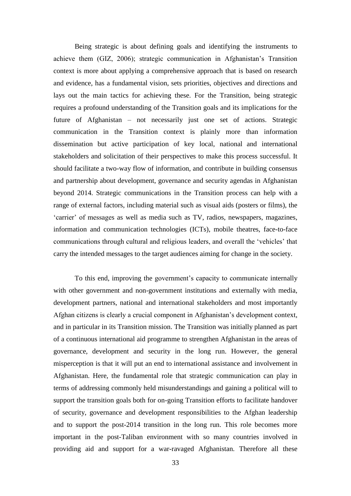Being strategic is about defining goals and identifying the instruments to achieve them (GIZ, 2006); strategic communication in Afghanistan's Transition context is more about applying a comprehensive approach that is based on research and evidence, has a fundamental vision, sets priorities, objectives and directions and lays out the main tactics for achieving these. For the Transition, being strategic requires a profound understanding of the Transition goals and its implications for the future of Afghanistan – not necessarily just one set of actions. Strategic communication in the Transition context is plainly more than information dissemination but active participation of key local, national and international stakeholders and solicitation of their perspectives to make this process successful. It should facilitate a two-way flow of information, and contribute in building consensus and partnership about development, governance and security agendas in Afghanistan beyond 2014. Strategic communications in the Transition process can help with a range of external factors, including material such as visual aids (posters or films), the 'carrier' of messages as well as media such as TV, radios, newspapers, magazines, information and communication technologies (ICTs), mobile theatres, face-to-face communications through cultural and religious leaders, and overall the 'vehicles' that carry the intended messages to the target audiences aiming for change in the society.

To this end, improving the government's capacity to communicate internally with other government and non-government institutions and externally with media, development partners, national and international stakeholders and most importantly Afghan citizens is clearly a crucial component in Afghanistan's development context, and in particular in its Transition mission. The Transition was initially planned as part of a continuous international aid programme to strengthen Afghanistan in the areas of governance, development and security in the long run. However, the general misperception is that it will put an end to international assistance and involvement in Afghanistan. Here, the fundamental role that strategic communication can play in terms of addressing commonly held misunderstandings and gaining a political will to support the transition goals both for on-going Transition efforts to facilitate handover of security, governance and development responsibilities to the Afghan leadership and to support the post-2014 transition in the long run. This role becomes more important in the post-Taliban environment with so many countries involved in providing aid and support for a war-ravaged Afghanistan. Therefore all these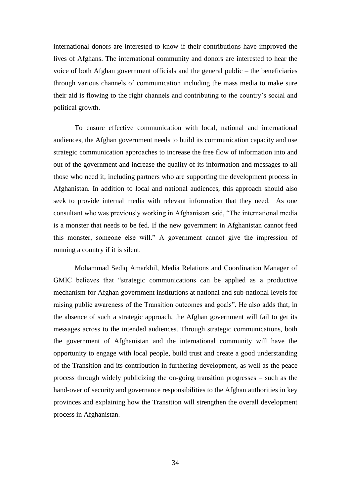international donors are interested to know if their contributions have improved the lives of Afghans. The international community and donors are interested to hear the voice of both Afghan government officials and the general public – the beneficiaries through various channels of communication including the mass media to make sure their aid is flowing to the right channels and contributing to the country's social and political growth.

To ensure effective communication with local, national and international audiences, the Afghan government needs to build its communication capacity and use strategic communication approaches to increase the free flow of information into and out of the government and increase the quality of its information and messages to all those who need it, including partners who are supporting the development process in Afghanistan. In addition to local and national audiences, this approach should also seek to provide internal media with relevant information that they need. As one consultant who was previously working in Afghanistan said, "The international media is a monster that needs to be fed. If the new government in Afghanistan cannot feed this monster, someone else will." A government cannot give the impression of running a country if it is silent.

Mohammad Sediq Amarkhil, Media Relations and Coordination Manager of GMIC believes that "strategic communications can be applied as a productive mechanism for Afghan government institutions at national and sub-national levels for raising public awareness of the Transition outcomes and goals". He also adds that, in the absence of such a strategic approach, the Afghan government will fail to get its messages across to the intended audiences. Through strategic communications, both the government of Afghanistan and the international community will have the opportunity to engage with local people, build trust and create a good understanding of the Transition and its contribution in furthering development, as well as the peace process through widely publicizing the on-going transition progresses – such as the hand-over of security and governance responsibilities to the Afghan authorities in key provinces and explaining how the Transition will strengthen the overall development process in Afghanistan.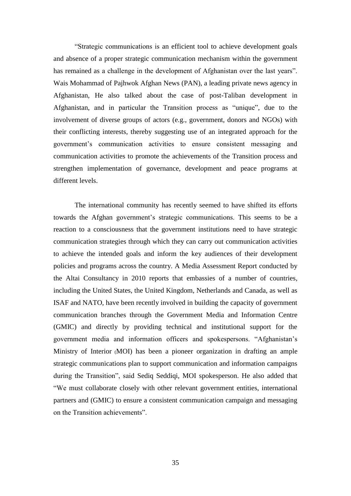"Strategic communications is an efficient tool to achieve development goals and absence of a proper strategic communication mechanism within the government has remained as a challenge in the development of Afghanistan over the last years". Wais Mohammad of Pajhwok Afghan News (PAN), a leading private news agency in Afghanistan, He also talked about the case of post-Taliban development in Afghanistan, and in particular the Transition process as "unique", due to the involvement of diverse groups of actors (e.g., government, donors and NGOs) with their conflicting interests, thereby suggesting use of an integrated approach for the government's communication activities to ensure consistent messaging and communication activities to promote the achievements of the Transition process and strengthen implementation of governance, development and peace programs at different levels.

The international community has recently seemed to have shifted its efforts towards the Afghan government's strategic communications. This seems to be a reaction to a consciousness that the government institutions need to have strategic communication strategies through which they can carry out communication activities to achieve the intended goals and inform the key audiences of their development policies and programs across the country. A Media Assessment Report conducted by the Altai Consultancy in 2010 reports that embassies of a number of countries, including the United States, the United Kingdom, Netherlands and Canada, as well as ISAF and NATO, have been recently involved in building the capacity of government communication branches through the Government Media and Information Centre (GMIC) and directly by providing technical and institutional support for the government media and information officers and spokespersons. "Afghanistan's Ministry of Interior (MOI) has been a pioneer organization in drafting an ample strategic communications plan to support communication and information campaigns during the Transition", said Sediq Seddiqi, MOI spokesperson. He also added that "We must collaborate closely with other relevant government entities, international partners and (GMIC) to ensure a consistent communication campaign and messaging on the Transition achievements".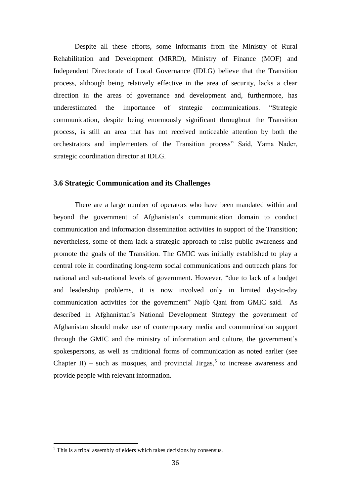Despite all these efforts, some informants from the Ministry of Rural Rehabilitation and Development (MRRD), Ministry of Finance (MOF) and Independent Directorate of Local Governance (IDLG) believe that the Transition process, although being relatively effective in the area of security, lacks a clear direction in the areas of governance and development and, furthermore, has underestimated the importance of strategic communications. "Strategic communication, despite being enormously significant throughout the Transition process, is still an area that has not received noticeable attention by both the orchestrators and implementers of the Transition process" Said, Yama Nader, strategic coordination director at IDLG.

#### <span id="page-40-0"></span>**3.6 Strategic Communication and its Challenges**

There are a large number of operators who have been mandated within and beyond the government of Afghanistan's communication domain to conduct communication and information dissemination activities in support of the Transition; nevertheless, some of them lack a strategic approach to raise public awareness and promote the goals of the Transition. The GMIC was initially established to play a central role in coordinating long-term social communications and outreach plans for national and sub-national levels of government. However, "due to lack of a budget and leadership problems, it is now involved only in limited day-to-day communication activities for the government" Najib Qani from GMIC said. As described in Afghanistan's National Development Strategy the government of Afghanistan should make use of contemporary media and communication support through the GMIC and the ministry of information and culture, the government's spokespersons, as well as traditional forms of communication as noted earlier (see Chapter II) – such as mosques, and provincial Jirgas,<sup>5</sup> to increase awareness and provide people with relevant information.

1

<sup>&</sup>lt;sup>5</sup> This is a tribal assembly of elders which takes decisions by consensus.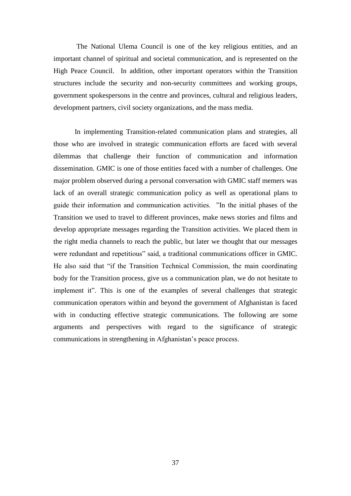The National Ulema Council is one of the key religious entities, and an important channel of spiritual and societal communication, and is represented on the High Peace Council. In addition, other important operators within the Transition structures include the security and non-security committees and working groups, government spokespersons in the centre and provinces, cultural and religious leaders, development partners, civil society organizations, and the mass media.

In implementing Transition-related communication plans and strategies, all those who are involved in strategic communication efforts are faced with several dilemmas that challenge their function of communication and information dissemination. GMIC is one of those entities faced with a number of challenges. One major problem observed during a personal conversation with GMIC staff memers was lack of an overall strategic communication policy as well as operational plans to guide their information and communication activities. "In the initial phases of the Transition we used to travel to different provinces, make news stories and films and develop appropriate messages regarding the Transition activities. We placed them in the right media channels to reach the public, but later we thought that our messages were redundant and repetitious" said, a traditional communications officer in GMIC. He also said that "if the Transition Technical Commission, the main coordinating body for the Transition process, give us a communication plan, we do not hesitate to implement it". This is one of the examples of several challenges that strategic communication operators within and beyond the government of Afghanistan is faced with in conducting effective strategic communications. The following are some arguments and perspectives with regard to the significance of strategic communications in strengthening in Afghanistan's peace process.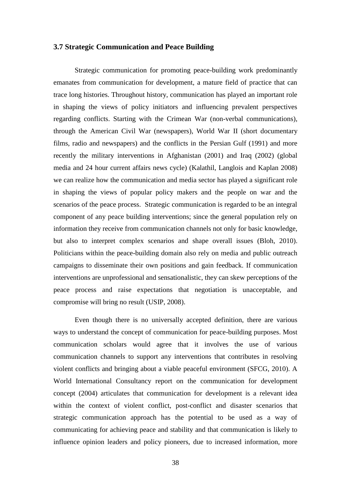## <span id="page-42-0"></span>**3.7 Strategic Communication and Peace Building**

Strategic communication for promoting peace-building work predominantly emanates from communication for development, a mature field of practice that can trace long histories. Throughout history, communication has played an important role in shaping the views of policy initiators and influencing prevalent perspectives regarding conflicts. Starting with the Crimean War (non-verbal communications), through the American Civil War (newspapers), World War II (short documentary films, radio and newspapers) and the conflicts in the Persian Gulf (1991) and more recently the military interventions in Afghanistan (2001) and Iraq (2002) (global media and 24 hour current affairs news cycle) (Kalathil, Langlois and Kaplan 2008) we can realize how the communication and media sector has played a significant role in shaping the views of popular policy makers and the people on war and the scenarios of the peace process. Strategic communication is regarded to be an integral component of any peace building interventions; since the general population rely on information they receive from communication channels not only for basic knowledge, but also to interpret complex scenarios and shape overall issues (Bloh, 2010). Politicians within the peace-building domain also rely on media and public outreach campaigns to disseminate their own positions and gain feedback. If communication interventions are unprofessional and sensationalistic, they can skew perceptions of the peace process and raise expectations that negotiation is unacceptable, and compromise will bring no result (USIP, 2008).

Even though there is no universally accepted definition, there are various ways to understand the concept of communication for peace-building purposes. Most communication scholars would agree that it involves the use of various communication channels to support any interventions that contributes in resolving violent conflicts and bringing about a viable peaceful environment (SFCG, 2010). A World International Consultancy report on the communication for development concept (2004) articulates that communication for development is a relevant idea within the context of violent conflict, post-conflict and disaster scenarios that strategic communication approach has the potential to be used as a way of communicating for achieving peace and stability and that communication is likely to influence opinion leaders and policy pioneers, due to increased information, more

38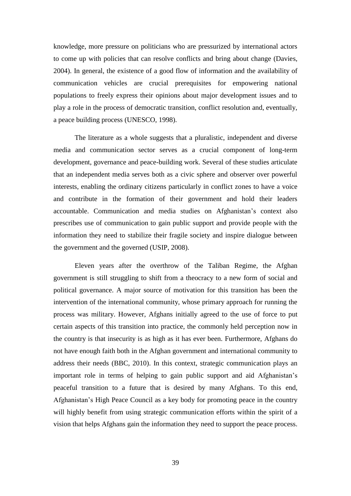knowledge, more pressure on politicians who are pressurized by international actors to come up with policies that can resolve conflicts and bring about change (Davies, 2004). In general, the existence of a good flow of information and the availability of communication vehicles are crucial prerequisites for empowering national populations to freely express their opinions about major development issues and to play a role in the process of democratic transition, conflict resolution and, eventually, a peace building process (UNESCO, 1998).

The literature as a whole suggests that a pluralistic, independent and diverse media and communication sector serves as a crucial component of long-term development, governance and peace-building work. Several of these studies articulate that an independent media serves both as a civic sphere and observer over powerful interests, enabling the ordinary citizens particularly in conflict zones to have a voice and contribute in the formation of their government and hold their leaders accountable. Communication and media studies on Afghanistan's context also prescribes use of communication to gain public support and provide people with the information they need to stabilize their fragile society and inspire dialogue between the government and the governed (USIP, 2008).

Eleven years after the overthrow of the Taliban Regime, the Afghan government is still struggling to shift from a theocracy to a new form of social and political governance. A major source of motivation for this transition has been the intervention of the international community, whose primary approach for running the process was military. However, Afghans initially agreed to the use of force to put certain aspects of this transition into practice, the commonly held perception now in the country is that insecurity is as high as it has ever been. Furthermore, Afghans do not have enough faith both in the Afghan government and international community to address their needs (BBC, 2010). In this context, strategic communication plays an important role in terms of helping to gain public support and aid Afghanistan's peaceful transition to a future that is desired by many Afghans. To this end, Afghanistan's High Peace Council as a key body for promoting peace in the country will highly benefit from using strategic communication efforts within the spirit of a vision that helps Afghans gain the information they need to support the peace process.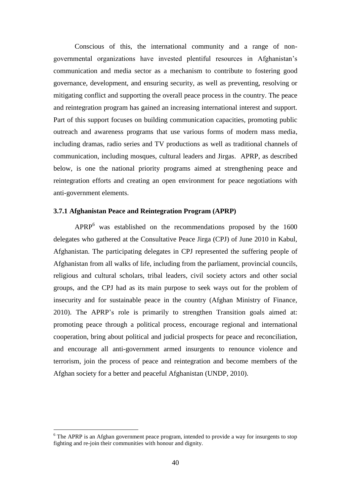Conscious of this, the international community and a range of nongovernmental organizations have invested plentiful resources in Afghanistan's communication and media sector as a mechanism to contribute to fostering good governance, development, and ensuring security, as well as preventing, resolving or mitigating conflict and supporting the overall peace process in the country. The peace and reintegration program has gained an increasing international interest and support. Part of this support focuses on building communication capacities, promoting public outreach and awareness programs that use various forms of modern mass media, including dramas, radio series and TV productions as well as traditional channels of communication, including mosques, cultural leaders and Jirgas. APRP, as described below, is one the national priority programs aimed at strengthening peace and reintegration efforts and creating an open environment for peace negotiations with anti-government elements.

## <span id="page-44-0"></span>**3.7.1 Afghanistan Peace and Reintegration Program (APRP)**

APRP<sup>6</sup> was established on the recommendations proposed by the 1600 delegates who gathered at the Consultative Peace Jirga (CPJ) of June 2010 in Kabul, Afghanistan. The participating delegates in CPJ represented the suffering people of Afghanistan from all walks of life, including from the parliament, provincial councils, religious and cultural scholars, tribal leaders, civil society actors and other social groups, and the CPJ had as its main purpose to seek ways out for the problem of insecurity and for sustainable peace in the country (Afghan Ministry of Finance, 2010). The APRP's role is primarily to strengthen Transition goals aimed at: promoting peace through a political process, encourage regional and international cooperation, bring about political and judicial prospects for peace and reconciliation, and encourage all anti-government armed insurgents to renounce violence and terrorism, join the process of peace and reintegration and become members of the Afghan society for a better and peaceful Afghanistan (UNDP, 2010).

<u>.</u>

 $6$  The APRP is an Afghan government peace program, intended to provide a way for insurgents to stop fighting and re-join their communities with honour and dignity.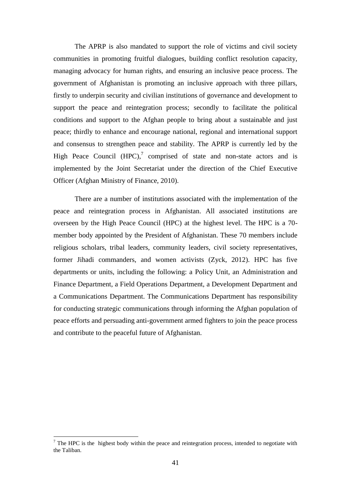The APRP is also mandated to support the role of victims and civil society communities in promoting fruitful dialogues, building conflict resolution capacity, managing advocacy for human rights, and ensuring an inclusive peace process. The government of Afghanistan is promoting an inclusive approach with three pillars, firstly to underpin security and civilian institutions of governance and development to support the peace and reintegration process; secondly to facilitate the political conditions and support to the Afghan people to bring about a sustainable and just peace; thirdly to enhance and encourage national, regional and international support and consensus to strengthen peace and stability. The APRP is currently led by the High Peace Council  $(HPC)$ , comprised of state and non-state actors and is implemented by the Joint Secretariat under the direction of the Chief Executive Officer (Afghan Ministry of Finance, 2010).

There are a number of institutions associated with the implementation of the peace and reintegration process in Afghanistan. All associated institutions are overseen by the High Peace Council (HPC) at the highest level. The HPC is a 70 member body appointed by the President of Afghanistan. These 70 members include religious scholars, tribal leaders, community leaders, civil society representatives, former Jihadi commanders, and women activists (Zyck, 2012). HPC has five departments or units, including the following: a Policy Unit, an Administration and Finance Department, a Field Operations Department, a Development Department and a Communications Department. The Communications Department has responsibility for conducting strategic communications through informing the Afghan population of peace efforts and persuading anti-government armed fighters to join the peace process and contribute to the peaceful future of Afghanistan.

1

<sup>&</sup>lt;sup>7</sup> The HPC is the highest body within the peace and reintegration process, intended to negotiate with the Taliban.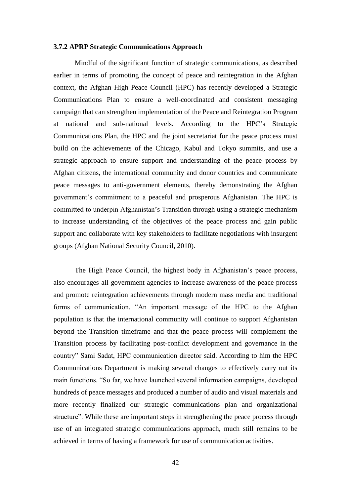#### <span id="page-46-0"></span>**3.7.2 APRP Strategic Communications Approach**

Mindful of the significant function of strategic communications, as described earlier in terms of promoting the concept of peace and reintegration in the Afghan context, the Afghan High Peace Council (HPC) has recently developed a Strategic Communications Plan to ensure a well-coordinated and consistent messaging campaign that can strengthen implementation of the Peace and Reintegration Program at national and sub-national levels. According to the HPC's Strategic Communications Plan, the HPC and the joint secretariat for the peace process must build on the achievements of the Chicago, Kabul and Tokyo summits, and use a strategic approach to ensure support and understanding of the peace process by Afghan citizens, the international community and donor countries and communicate peace messages to anti-government elements, thereby demonstrating the Afghan government's commitment to a peaceful and prosperous Afghanistan. The HPC is committed to underpin Afghanistan's Transition through using a strategic mechanism to increase understanding of the objectives of the peace process and gain public support and collaborate with key stakeholders to facilitate negotiations with insurgent groups (Afghan National Security Council, 2010).

The High Peace Council, the highest body in Afghanistan's peace process, also encourages all government agencies to increase awareness of the peace process and promote reintegration achievements through modern mass media and traditional forms of communication. "An important message of the HPC to the Afghan population is that the international community will continue to support Afghanistan beyond the Transition timeframe and that the peace process will complement the Transition process by facilitating post-conflict development and governance in the country" Sami Sadat, HPC communication director said. According to him the HPC Communications Department is making several changes to effectively carry out its main functions. "So far, we have launched several information campaigns, developed hundreds of peace messages and produced a number of audio and visual materials and more recently finalized our strategic communications plan and organizational structure". While these are important steps in strengthening the peace process through use of an integrated strategic communications approach, much still remains to be achieved in terms of having a framework for use of communication activities.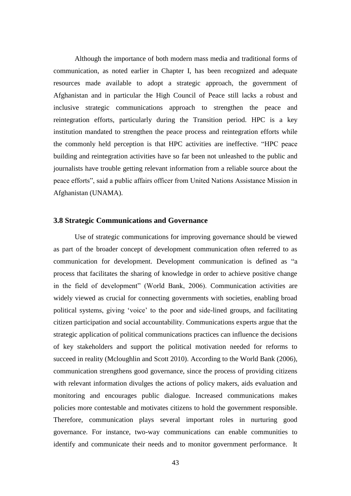Although the importance of both modern mass media and traditional forms of communication, as noted earlier in Chapter I, has been recognized and adequate resources made available to adopt a strategic approach, the government of Afghanistan and in particular the High Council of Peace still lacks a robust and inclusive strategic communications approach to strengthen the peace and reintegration efforts, particularly during the Transition period. HPC is a key institution mandated to strengthen the peace process and reintegration efforts while the commonly held perception is that HPC activities are ineffective. "HPC peace building and reintegration activities have so far been not unleashed to the public and journalists have trouble getting relevant information from a reliable source about the peace efforts", said a public affairs officer from United Nations Assistance Mission in Afghanistan (UNAMA).

#### <span id="page-47-0"></span>**3.8 Strategic Communications and Governance**

Use of strategic communications for improving governance should be viewed as part of the broader concept of development communication often referred to as communication for development. Development communication is defined as "a process that facilitates the sharing of knowledge in order to achieve positive change in the field of development" (World Bank, 2006). Communication activities are widely viewed as crucial for connecting governments with societies, enabling broad political systems, giving 'voice' to the poor and side-lined groups, and facilitating citizen participation and social accountability. Communications experts argue that the strategic application of political communications practices can influence the decisions of key stakeholders and support the political motivation needed for reforms to succeed in reality (Mcloughlin and Scott 2010). According to the World Bank (2006), communication strengthens good governance, since the process of providing citizens with relevant information divulges the actions of policy makers, aids evaluation and monitoring and encourages public dialogue. Increased communications makes policies more contestable and motivates citizens to hold the government responsible. Therefore, communication plays several important roles in nurturing good governance. For instance, two-way communications can enable communities to identify and communicate their needs and to monitor government performance. It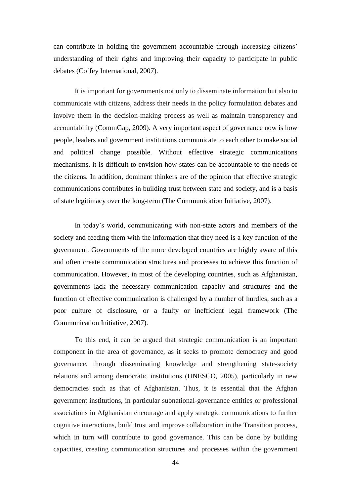can contribute in holding the government accountable through increasing citizens' understanding of their rights and improving their capacity to participate in public debates (Coffey International, 2007).

It is important for governments not only to disseminate information but also to communicate with citizens, address their needs in the policy formulation debates and involve them in the decision-making process as well as maintain transparency and accountability (CommGap, 2009). A very important aspect of governance now is how people, leaders and government institutions communicate to each other to make social and political change possible. Without effective strategic communications mechanisms, it is difficult to envision how states can be accountable to the needs of the citizens. In addition, dominant thinkers are of the opinion that effective strategic communications contributes in building trust between state and society, and is a basis of state legitimacy over the long-term (The Communication Initiative, 2007).

In today's world, communicating with non-state actors and members of the society and feeding them with the information that they need is a key function of the government. Governments of the more developed countries are highly aware of this and often create communication structures and processes to achieve this function of communication. However, in most of the developing countries, such as Afghanistan, governments lack the necessary communication capacity and structures and the function of effective communication is challenged by a number of hurdles, such as a poor culture of disclosure, or a faulty or inefficient legal framework (The Communication Initiative, 2007).

To this end, it can be argued that strategic communication is an important component in the area of governance, as it seeks to promote democracy and good governance, through disseminating knowledge and strengthening state-society relations and among democratic institutions (UNESCO, 2005), particularly in new democracies such as that of Afghanistan. Thus, it is essential that the Afghan government institutions, in particular subnational-governance entities or professional associations in Afghanistan encourage and apply strategic communications to further cognitive interactions, build trust and improve collaboration in the Transition process, which in turn will contribute to good governance. This can be done by building capacities, creating communication structures and processes within the government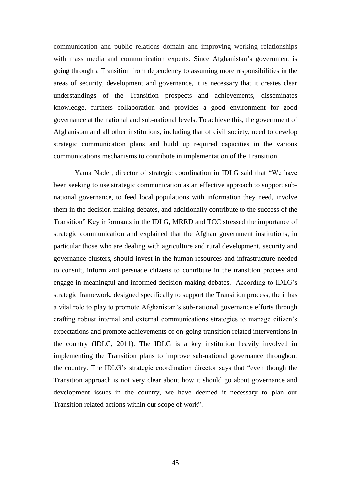communication and public relations domain and improving working relationships with mass media and communication experts. Since Afghanistan's government is going through a Transition from dependency to assuming more responsibilities in the areas of security, development and governance, it is necessary that it creates clear understandings of the Transition prospects and achievements, disseminates knowledge, furthers collaboration and provides a good environment for good governance at the national and sub-national levels. To achieve this, the government of Afghanistan and all other institutions, including that of civil society, need to develop strategic communication plans and build up required capacities in the various communications mechanisms to contribute in implementation of the Transition.

Yama Nader, director of strategic coordination in IDLG said that "We have been seeking to use strategic communication as an effective approach to support subnational governance, to feed local populations with information they need, involve them in the decision-making debates, and additionally contribute to the success of the Transition" Key informants in the IDLG, MRRD and TCC stressed the importance of strategic communication and explained that the Afghan government institutions, in particular those who are dealing with agriculture and rural development, security and governance clusters, should invest in the human resources and infrastructure needed to consult, inform and persuade citizens to contribute in the transition process and engage in meaningful and informed decision-making debates. According to IDLG's strategic framework, designed specifically to support the Transition process, the it has a vital role to play to promote Afghanistan's sub-national governance efforts through crafting robust internal and external communications strategies to manage citizen's expectations and promote achievements of on-going transition related interventions in the country (IDLG, 2011). The IDLG is a key institution heavily involved in implementing the Transition plans to improve sub-national governance throughout the country. The IDLG's strategic coordination director says that "even though the Transition approach is not very clear about how it should go about governance and development issues in the country, we have deemed it necessary to plan our Transition related actions within our scope of work".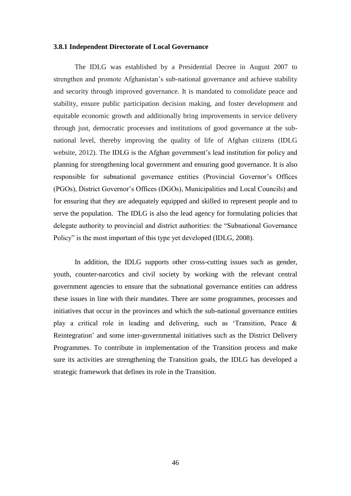#### <span id="page-50-0"></span>**3.8.1 Independent Directorate of Local Governance**

The IDLG was established by a Presidential Decree in August 2007 to strengthen and promote Afghanistan's sub-national governance and achieve stability and security through improved governance. It is mandated to consolidate peace and stability, ensure public participation decision making, and foster development and equitable economic growth and additionally bring improvements in service delivery through just, democratic processes and institutions of good governance at the subnational level, thereby improving the quality of life of Afghan citizens (IDLG website, 2012). The IDLG is the Afghan government's lead institution for policy and planning for strengthening local government and ensuring good governance. It is also responsible for subnational governance entities (Provincial Governor's Offices (PGOs), District Governor's Offices (DGOs), Municipalities and Local Councils) and for ensuring that they are adequately equipped and skilled to represent people and to serve the population. The IDLG is also the lead agency for formulating policies that delegate authority to provincial and district authorities: the "Subnational Governance Policy" is the most important of this type yet developed (IDLG, 2008).

In addition, the IDLG supports other cross-cutting issues such as gender, youth, counter-narcotics and civil society by working with the relevant central government agencies to ensure that the subnational governance entities can address these issues in line with their mandates. There are some programmes, processes and initiatives that occur in the provinces and which the sub-national governance entities play a critical role in leading and delivering, such as 'Transition, Peace & Reintegration' and some inter-governmental initiatives such as the District Delivery Programmes. To contribute in implementation of the Transition process and make sure its activities are strengthening the Transition goals, the IDLG has developed a strategic framework that defines its role in the Transition.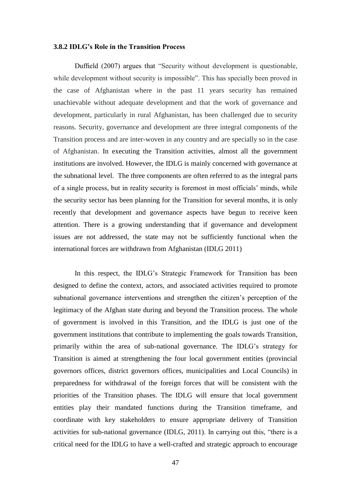#### <span id="page-51-0"></span>**3.8.2 IDLG's Role in the Transition Process**

Duffield (2007) argues that "Security without development is questionable, while development without security is impossible". This has specially been proved in the case of Afghanistan where in the past 11 years security has remained unachievable without adequate development and that the work of governance and development, particularly in rural Afghanistan, has been challenged due to security reasons. Security, governance and development are three integral components of the Transition process and are inter-woven in any country and are specially so in the case of Afghanistan. In executing the Transition activities, almost all the government institutions are involved. However, the IDLG is mainly concerned with governance at the subnational level. The three components are often referred to as the integral parts of a single process, but in reality security is foremost in most officials' minds, while the security sector has been planning for the Transition for several months, it is only recently that development and governance aspects have begun to receive keen attention. There is a growing understanding that if governance and development issues are not addressed, the state may not be sufficiently functional when the international forces are withdrawn from Afghanistan (IDLG 2011)

In this respect, the IDLG's Strategic Framework for Transition has been designed to define the context, actors, and associated activities required to promote subnational governance interventions and strengthen the citizen's perception of the legitimacy of the Afghan state during and beyond the Transition process. The whole of government is involved in this Transition, and the IDLG is just one of the government institutions that contribute to implementing the goals towards Transition, primarily within the area of sub-national governance. The IDLG's strategy for Transition is aimed at strengthening the four local government entities (provincial governors offices, district governors offices, municipalities and Local Councils) in preparedness for withdrawal of the foreign forces that will be consistent with the priorities of the Transition phases. The IDLG will ensure that local government entities play their mandated functions during the Transition timeframe, and coordinate with key stakeholders to ensure appropriate delivery of Transition activities for sub-national governance (IDLG, 2011). In carrying out this, "there is a critical need for the IDLG to have a well-crafted and strategic approach to encourage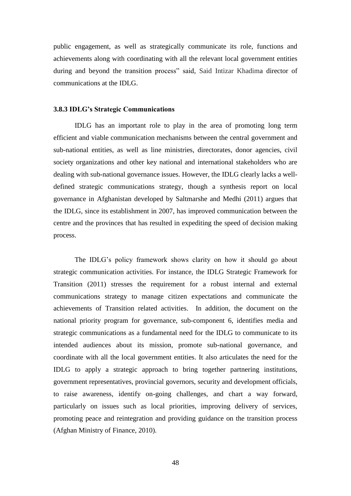public engagement, as well as strategically communicate its role, functions and achievements along with coordinating with all the relevant local government entities during and beyond the transition process" said, Said Intizar Khadima director of communications at the IDLG.

#### <span id="page-52-0"></span>**3.8.3 IDLG's Strategic Communications**

IDLG has an important role to play in the area of promoting long term efficient and viable communication mechanisms between the central government and sub-national entities, as well as line ministries, directorates, donor agencies, civil society organizations and other key national and international stakeholders who are dealing with sub-national governance issues. However, the IDLG clearly lacks a welldefined strategic communications strategy, though a synthesis report on local governance in Afghanistan developed by Saltmarshe and Medhi (2011) argues that the IDLG, since its establishment in 2007, has improved communication between the centre and the provinces that has resulted in expediting the speed of decision making process.

The IDLG's policy framework shows clarity on how it should go about strategic communication activities. For instance, the IDLG Strategic Framework for Transition (2011) stresses the requirement for a robust internal and external communications strategy to manage citizen expectations and communicate the achievements of Transition related activities. In addition, the document on the national priority program for governance, sub-component 6, identifies media and strategic communications as a fundamental need for the IDLG to communicate to its intended audiences about its mission, promote sub-national governance, and coordinate with all the local government entities. It also articulates the need for the IDLG to apply a strategic approach to bring together partnering institutions, government representatives, provincial governors, security and development officials, to raise awareness, identify on-going challenges, and chart a way forward, particularly on issues such as local priorities, improving delivery of services, promoting peace and reintegration and providing guidance on the transition process (Afghan Ministry of Finance, 2010).

48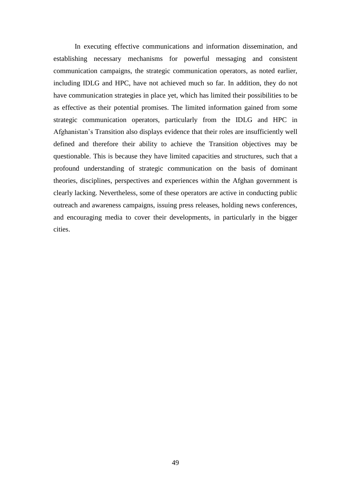In executing effective communications and information dissemination, and establishing necessary mechanisms for powerful messaging and consistent communication campaigns, the strategic communication operators, as noted earlier, including IDLG and HPC, have not achieved much so far. In addition, they do not have communication strategies in place yet, which has limited their possibilities to be as effective as their potential promises. The limited information gained from some strategic communication operators, particularly from the IDLG and HPC in Afghanistan's Transition also displays evidence that their roles are insufficiently well defined and therefore their ability to achieve the Transition objectives may be questionable. This is because they have limited capacities and structures, such that a profound understanding of strategic communication on the basis of dominant theories, disciplines, perspectives and experiences within the Afghan government is clearly lacking. Nevertheless, some of these operators are active in conducting public outreach and awareness campaigns, issuing press releases, holding news conferences, and encouraging media to cover their developments, in particularly in the bigger cities.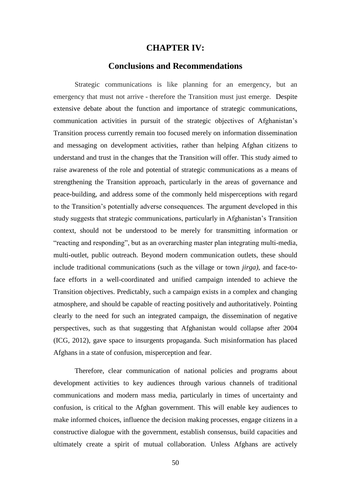## **CHAPTER IV:**

## **Conclusions and Recommendations**

<span id="page-54-0"></span>Strategic communications is like planning for an emergency, but an emergency that must not arrive - therefore the Transition must just emerge. Despite extensive debate about the function and importance of strategic communications, communication activities in pursuit of the strategic objectives of Afghanistan's Transition process currently remain too focused merely on information dissemination and messaging on development activities, rather than helping Afghan citizens to understand and trust in the changes that the Transition will offer. This study aimed to raise awareness of the role and potential of strategic communications as a means of strengthening the Transition approach, particularly in the areas of governance and peace-building, and address some of the commonly held misperceptions with regard to the Transition's potentially adverse consequences. The argument developed in this study suggests that strategic communications, particularly in Afghanistan's Transition context, should not be understood to be merely for transmitting information or "reacting and responding", but as an overarching master plan integrating multi-media, multi-outlet, public outreach. Beyond modern communication outlets, these should include traditional communications (such as the village or town *jirga)*, and face-toface efforts in a well-coordinated and unified campaign intended to achieve the Transition objectives. Predictably, such a campaign exists in a complex and changing atmosphere, and should be capable of reacting positively and authoritatively. Pointing clearly to the need for such an integrated campaign, the dissemination of negative perspectives, such as that suggesting that Afghanistan would collapse after 2004 (ICG, 2012), gave space to insurgents propaganda. Such misinformation has placed Afghans in a state of confusion, misperception and fear.

Therefore, clear communication of national policies and programs about development activities to key audiences through various channels of traditional communications and modern mass media, particularly in times of uncertainty and confusion, is critical to the Afghan government. This will enable key audiences to make informed choices, influence the decision making processes, engage citizens in a constructive dialogue with the government, establish consensus, build capacities and ultimately create a spirit of mutual collaboration. Unless Afghans are actively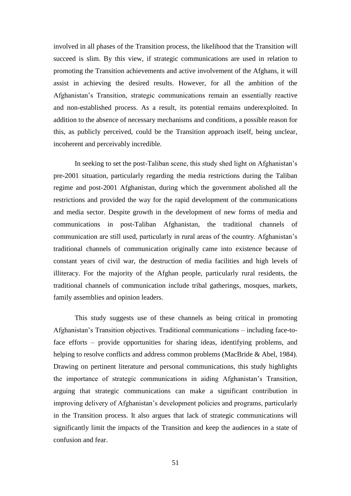involved in all phases of the Transition process, the likelihood that the Transition will succeed is slim. By this view, if strategic communications are used in relation to promoting the Transition achievements and active involvement of the Afghans, it will assist in achieving the desired results. However, for all the ambition of the Afghanistan's Transition, strategic communications remain an essentially reactive and non-established process. As a result, its potential remains underexploited. In addition to the absence of necessary mechanisms and conditions, a possible reason for this, as publicly perceived, could be the Transition approach itself, being unclear, incoherent and perceivably incredible.

In seeking to set the post-Taliban scene, this study shed light on Afghanistan's pre-2001 situation, particularly regarding the media restrictions during the Taliban regime and post-2001 Afghanistan, during which the government abolished all the restrictions and provided the way for the rapid development of the communications and media sector. Despite growth in the development of new forms of media and communications in post-Taliban Afghanistan, the traditional channels of communication are still used, particularly in rural areas of the country. Afghanistan's traditional channels of communication originally came into existence because of constant years of civil war, the destruction of media facilities and high levels of illiteracy. For the majority of the Afghan people, particularly rural residents, the traditional channels of communication include tribal gatherings, mosques, markets, family assemblies and opinion leaders.

This study suggests use of these channels as being critical in promoting Afghanistan's Transition objectives. Traditional communications – including face-toface efforts – provide opportunities for sharing ideas, identifying problems, and helping to resolve conflicts and address common problems (MacBride & Abel, 1984). Drawing on pertinent literature and personal communications, this study highlights the importance of strategic communications in aiding Afghanistan's Transition, arguing that strategic communications can make a significant contribution in improving delivery of Afghanistan's development policies and programs, particularly in the Transition process. It also argues that lack of strategic communications will significantly limit the impacts of the Transition and keep the audiences in a state of confusion and fear.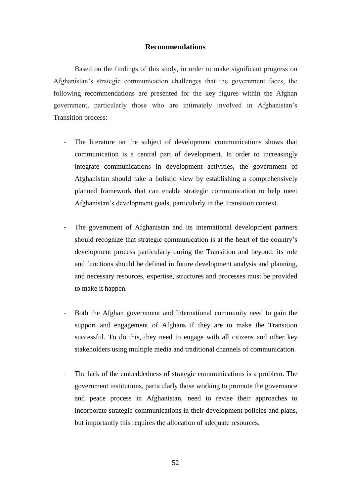## **Recommendations**

Based on the findings of this study, in order to make significant progress on Afghanistan's strategic communication challenges that the government faces, the following recommendations are presented for the key figures within the Afghan government, particularly those who are intimately involved in Afghanistan's Transition process:

- The literature on the subject of development communications shows that communication is a central part of development. In order to increasingly integrate communications in development activities, the government of Afghanistan should take a holistic view by establishing a comprehensively planned framework that can enable strategic communication to help meet Afghanistan's development goals, particularly in the Transition context.
- The government of Afghanistan and its international development partners should recognize that strategic communication is at the heart of the country's development process particularly during the Transition and beyond: its role and functions should be defined in future development analysis and planning, and necessary resources, expertise, structures and processes must be provided to make it happen.
- Both the Afghan government and International community need to gain the support and engagement of Afghans if they are to make the Transition successful. To do this, they need to engage with all citizens and other key stakeholders using multiple media and traditional channels of communication.
- The lack of the embeddedness of strategic communications is a problem. The government institutions, particularly those working to promote the governance and peace process in Afghanistan, need to revise their approaches to incorporate strategic communications in their development policies and plans, but importantly this requires the allocation of adequate resources.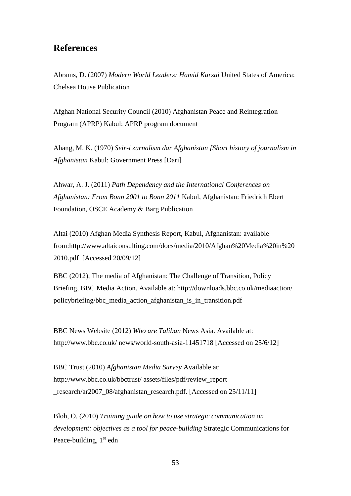## **References**

Abrams, D. (2007) *Modern World Leaders: Hamid Karzai* United States of America: Chelsea House Publication

Afghan National Security Council (2010) Afghanistan Peace and Reintegration Program (APRP) Kabul: APRP program document

Ahang, M. K. (1970) *Seir-i zurnalism dar Afghanistan [Short history of journalism in Afghanistan* Kabul: Government Press [Dari]

Ahwar, A. J. (2011) *Path Dependency and the International Conferences on Afghanistan: From Bonn 2001 to Bonn 2011* Kabul, Afghanistan: Friedrich Ebert Foundation, OSCE Academy & Barg Publication

Altai (2010) Afghan Media Synthesis Report, Kabul, Afghanistan: available from[:http://www.altaiconsulting.com/docs/media/2010/Afghan%20Media%20in%20](http://www.altaiconsulting.com/docs/media/2010/Afghan%20Media%20in%202010.pdf) [2010.pdf](http://www.altaiconsulting.com/docs/media/2010/Afghan%20Media%20in%202010.pdf) [Accessed 20/09/12]

BBC (2012), The media of Afghanistan: The Challenge of Transition, Policy Briefing, BBC Media Action. Available at: [http://downloads.bbc.co.uk/mediaaction/](http://downloads.bbc.co.uk/mediaaction/policybriefing/bbc_media_action_afghanistan_is_in_transition.pdf)  [policybriefing/bbc\\_media\\_action\\_afghanistan\\_is\\_in\\_transition.pdf](http://downloads.bbc.co.uk/mediaaction/policybriefing/bbc_media_action_afghanistan_is_in_transition.pdf)

BBC News Website (2012) *Who are Taliban* News Asia. Available at: [http://www.bbc.co.uk/ news/world-south-asia-11451718](http://www.bbc.co.uk/%20news/world-south-asia-11451718) [Accessed on 25/6/12]

BBC Trust (2010) *Afghanistan Media Survey* Available at: [http://www.bbc.co.uk/bbctrust/ assets/files/pdf/review\\_report](http://www.bbc.co.uk/bbctrust/%20assets/files/pdf/review_report_research/ar2007_08/afghanistan_research.pdf)  [\\_research/ar2007\\_08/afghanistan\\_research.pdf.](http://www.bbc.co.uk/bbctrust/%20assets/files/pdf/review_report_research/ar2007_08/afghanistan_research.pdf) [Accessed on 25/11/11]

Bloh, O. (2010) *Training guide on how to use strategic communication on development: objectives as a tool for peace-building* Strategic Communications for Peace-building,  $1<sup>st</sup>$  edn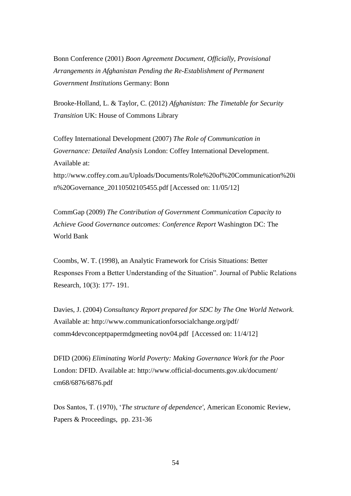Bonn Conference (2001) *Boon Agreement Document, Officially, Provisional Arrangements in Afghanistan Pending the Re-Establishment of Permanent Government Institutions* Germany: Bonn

Brooke-Holland, L. & Taylor, C. (2012) *Afghanistan: The Timetable for Security Transition* UK: House of Commons Library

Coffey International Development (2007) *The Role of Communication in Governance: Detailed Analysis* London: Coffey International Development. Available at: [http://www.coffey.com.au/Uploads/Documents/Role%20of%20Communication%20i](http://www.coffey.com.au/Uploads/Documents/Role%20of%20Communication%20in%20Governance_20110502105455.pdf) [n%20Governance\\_20110502105455.pdf](http://www.coffey.com.au/Uploads/Documents/Role%20of%20Communication%20in%20Governance_20110502105455.pdf) [Accessed on: 11/05/12]

CommGap (2009) *The Contribution of Government Communication Capacity to Achieve Good Governance outcomes: Conference Report* Washington DC: The World Bank

Coombs, W. T. (1998), an Analytic Framework for Crisis Situations: Better Responses From a Better Understanding of the Situation". Journal of Public Relations Research, 10(3): 177- 191.

Davies, J. (2004) *Consultancy Report prepared for SDC by The One World Network.* Available at: [http://www.communicationforsocialchange.org/pdf/](http://www.communicationforsocialchange.org/pdf/comm4devconceptpapermdgmeeting%20nov04.pdf)  [comm4devconceptpapermdgmeeting nov04.pdf](http://www.communicationforsocialchange.org/pdf/comm4devconceptpapermdgmeeting%20nov04.pdf) [Accessed on: 11/4/12]

DFID (2006) *Eliminating World Poverty: Making Governance Work for the Poor* London: DFID. Available at: http://www.official-documents.gov.uk/document/ [cm68/6876/6876.pdf](http://www.official-documents.gov.uk/document/%20cm68/6876/6876.pdf)

Dos Santos, T. (1970), '*The structure of dependence'*, American Economic Review, Papers & Proceedings, pp. 231-36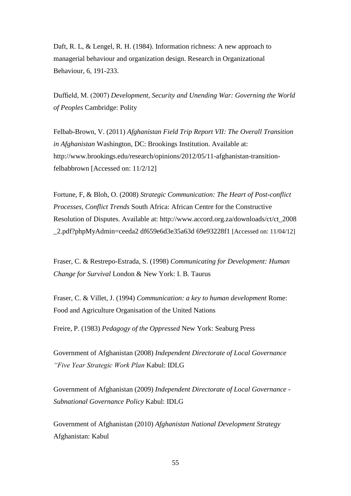Daft, R. L, & Lengel, R. H. (1984). Information richness: A new approach to managerial behaviour and organization design. Research in Organizational Behaviour, 6, 191-233.

Duffield, M. (2007) *Development, Security and Unending War: Governing the World of Peoples* Cambridge: Polity

Felbab-Brown, V. (2011) *Afghanistan Field Trip Report VII: The Overall Transition in Afghanistan* Washington, DC: Brookings Institution. Available at: [http://www.brookings.edu/research/opinions/2012/05/11-afghanistan-transition](http://www.brookings.edu/research/opinions/2012/05/11-afghanistan-transition-felbabbrown)[felbabbrown](http://www.brookings.edu/research/opinions/2012/05/11-afghanistan-transition-felbabbrown) [Accessed on: 11/2/12]

Fortune, F, & Bloh, O. (2008) *Strategic Communication: The Heart of Post-conflict Processes, Conflict Trends* South Africa: African Centre for the Constructive Resolution of Disputes. Available at: [http://www.accord.org.za/downloads/ct/ct\\_2008](http://www.accord.org.za/downloads/ct/ct_2008_2.pdf?phpMyAdmin=ceeda2%20df659e6d3e35a63d%2069e93228f1)  [\\_2.pdf?phpMyAdmin=ceeda2 df659e6d3e35a63d 69e93228f1](http://www.accord.org.za/downloads/ct/ct_2008_2.pdf?phpMyAdmin=ceeda2%20df659e6d3e35a63d%2069e93228f1) [Accessed on: 11/04/12]

Fraser, C. & Restrepo-Estrada, S. (1998) *Communicating for Development: Human Change for Survival* London & New York: I. B. Taurus

Fraser, C. & Villet, J. (1994) *Communication: a key to human development* Rome: Food and Agriculture Organisation of the United Nations

Freire, P. (1983) *Pedagogy of the Oppressed* New York: Seaburg Press

Government of Afghanistan (2008) *Independent Directorate of Local Governance "Five Year Strategic Work Plan* Kabul: IDLG

Government of Afghanistan (2009) *Independent Directorate of Local Governance - Subnational Governance Policy* Kabul: IDLG

Government of Afghanistan (2010) *Afghanistan National Development Strategy* Afghanistan: Kabul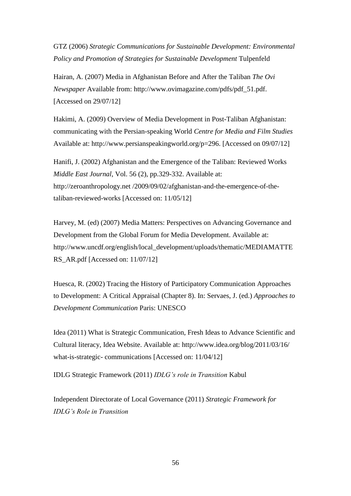GTZ (2006) *Strategic Communications for Sustainable Development: Environmental Policy and Promotion of Strategies for Sustainable Development* Tulpenfeld

Hairan, A. (2007) Media in Afghanistan Before and After the Taliban *The Ovi Newspaper* Available from: [http://www.ovimagazine.com/pdfs/pdf\\_51.pdf.](http://www.ovimagazine.com/pdfs/pdf_51.pdf) [Accessed on 29/07/12]

Hakimi, A. (2009) Overview of Media Development in Post-Taliban Afghanistan: communicating with the Persian-speaking World *Centre for Media and Film Studies* Available at: [http://www.persianspeakingworld.org/p=296.](http://www.persianspeakingworld.org/?p=296) [Accessed on 09/07/12]

Hanifi, J. (2002) Afghanistan and the Emergence of the Taliban: Reviewed Works *Middle East Journal*, Vol. 56 (2), pp.329-332. Available at: [http://zeroanthropology.net /2009/09/02/afghanistan-and-the-emergence-of-the](http://zeroanthropology.net/2009/09/02/afghanistan-and-the-emergence-of-the-taliban-reviewed-works)[taliban-reviewed-works](http://zeroanthropology.net/2009/09/02/afghanistan-and-the-emergence-of-the-taliban-reviewed-works) [Accessed on: 11/05/12]

Harvey, M. (ed) (2007) Media Matters: Perspectives on Advancing Governance and Development from the Global Forum for Media Development. Available at: [http://www.uncdf.org/english/local\\_development/uploads/thematic/MEDIAMATTE](http://www.uncdf.org/english/local_development/uploads/thematic/MEDIAMATTERS_AR.pdf) RS AR.pdf [Accessed on: 11/07/12]

Huesca, R. (2002) Tracing the History of Participatory Communication Approaches to Development: A Critical Appraisal (Chapter 8). In: Servaes, J. (ed.) *Approaches to Development Communication* Paris: UNESCO

Idea (2011) What is Strategic Communication, Fresh Ideas to Advance Scientific and Cultural literacy, Idea Website. Available at: [http://www.idea.org/blog/2011/03/16/](http://www.idea.org/blog/2011/03/16/what-is-strategic-%20communications/)  [what-is-strategic-](http://www.idea.org/blog/2011/03/16/what-is-strategic-%20communications/) communications [Accessed on: 11/04/12]

IDLG Strategic Framework (2011) *IDLG's role in Transition* Kabul

Independent Directorate of Local Governance (2011) *Strategic Framework for IDLG's Role in Transition*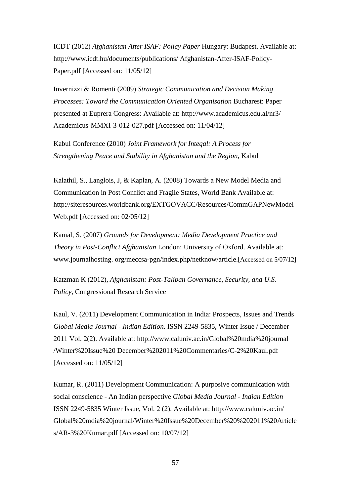ICDT (2012) *Afghanistan After ISAF: Policy Paper* Hungary: Budapest. Available at: [http://www.icdt.hu/documents/publications/ Afghanistan-After-ISAF-Policy-](http://www.icdt.hu/documents/publications/Afghanistan-After-ISAF-Policy-Paper.pdf)[Paper.pdf](http://www.icdt.hu/documents/publications/Afghanistan-After-ISAF-Policy-Paper.pdf) [Accessed on: 11/05/12]

Invernizzi & Romenti (2009) *Strategic Communication and Decision Making Processes: Toward the Communication Oriented Organisation* Bucharest: Paper presented at Euprera Congress: Available at: [http://www.academicus.edu.al/nr3/](http://www.academicus.edu.al/nr3/Academicus-MMXI-3-012-027.pdf)  [Academicus-MMXI-3-012-027.pdf](http://www.academicus.edu.al/nr3/Academicus-MMXI-3-012-027.pdf) [Accessed on: 11/04/12]

Kabul Conference (2010) *Joint Framework for Inteqal: A Process for Strengthening Peace and Stability in Afghanistan and the Region,* Kabul

Kalathil, S., Langlois, J, & Kaplan, A. (2008) Towards a New Model Media and Communication in Post Conflict and Fragile States, World Bank Available at: [http://siteresources.worldbank.org/EXTGOVACC/Resources/CommGAPNewModel](http://siteresources.worldbank.org/EXTGOVACC/Resources/CommGAPNewModelWeb.pdf) [Web.pdf](http://siteresources.worldbank.org/EXTGOVACC/Resources/CommGAPNewModelWeb.pdf) [Accessed on: 02/05/12]

Kamal, S. (2007) *Grounds for Development: Media Development Practice and Theory in Post-Conflict Afghanistan* London: University of Oxford. Available at: [www.journalhosting.](http://www.journalhosting/) org/meccsa-pgn/index.php/netknow/article.[Accessed on 5/07/12]

Katzman K (2012), *Afghanistan: Post-Taliban Governance, Security, and U.S. Policy*, Congressional Research Service

Kaul, V. (2011) Development Communication in India: Prospects, Issues and Trends *Global Media Journal - Indian Edition.* ISSN 2249-5835, Winter Issue / December 2011 Vol. 2(2). Available at: [http://www.caluniv.ac.in/Global%20mdia%20journal](http://www.caluniv.ac.in/Global%20mdia%20journal%20/Winter%20Issue%20%20December%202011%20Commentaries/C-2%20Kaul.pdf)  [/Winter%20Issue%20 December%202011%20Commentaries/C-2%20Kaul.pdf](http://www.caluniv.ac.in/Global%20mdia%20journal%20/Winter%20Issue%20%20December%202011%20Commentaries/C-2%20Kaul.pdf) [Accessed on: 11/05/12]

Kumar, R. (2011) Development Communication: A purposive communication with social conscience - An Indian perspective *Global Media Journal - Indian Edition* ISSN 2249-5835 Winter Issue, Vol. 2 (2). Available at: [http://www.caluniv.ac.in/](http://www.caluniv.ac.in/Global%20mdia%20journal/%20Winter%20Issue%20December%20%202011%20Articles/AR-3%20Kumar.pdf)  [Global%20mdia%20journal/Winter%20Issue%20December%20%202011%20Article](http://www.caluniv.ac.in/Global%20mdia%20journal/%20Winter%20Issue%20December%20%202011%20Articles/AR-3%20Kumar.pdf) [s/AR-3%20Kumar.pdf](http://www.caluniv.ac.in/Global%20mdia%20journal/%20Winter%20Issue%20December%20%202011%20Articles/AR-3%20Kumar.pdf) [Accessed on: 10/07/12]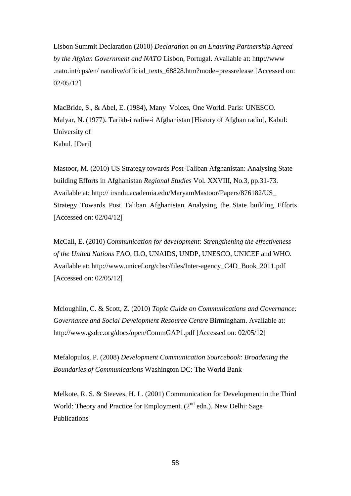Lisbon Summit Declaration (2010) *Declaration on an Enduring Partnership Agreed by the Afghan Government and NATO* Lisbon, Portugal. Available at: [http://www](http://www.nato.int/cps/en/%20natolive/official_texts_68828.htm?mode=pressrelease)  [.nato.int/cps/en/ natolive/official\\_texts\\_68828.htm?mode=pressrelease](http://www.nato.int/cps/en/%20natolive/official_texts_68828.htm?mode=pressrelease) [Accessed on: 02/05/12]

MacBride, S., & Abel, E. (1984), Many Voices, One World. Paris: UNESCO. Malyar, N. (1977). Tarikh-i radiw-i Afghanistan [History of Afghan radio], Kabul: University of Kabul. [Dari]

Mastoor, M. (2010) US Strategy towards Post-Taliban Afghanistan: Analysing State building Efforts in Afghanistan *Regional Studies* Vol. XXVIII, No.3, pp.31-73. Available at: http:// [irsndu.academia.edu/MaryamMastoor/Papers/876182/US\\_](http://irsndu.academia.edu/MaryamMastoor/Papers/876182/US_Strategy_Towards_Post_Taliban_Afghanistan_Analysing_the_State_building_Efforts)  [Strategy\\_Towards\\_Post\\_Taliban\\_Afghanistan\\_Analysing\\_the\\_State\\_building\\_Efforts](http://irsndu.academia.edu/MaryamMastoor/Papers/876182/US_Strategy_Towards_Post_Taliban_Afghanistan_Analysing_the_State_building_Efforts) [Accessed on: 02/04/12]

McCall, E. (2010) *Communication for development: Strengthening the effectiveness of the United Nations* FAO, ILO, UNAIDS, UNDP, UNESCO, UNICEF and WHO. Available at: [http://www.unicef.org/cbsc/files/Inter-agency\\_C4D\\_Book\\_2011.pdf](http://www.unicef.org/cbsc/files/Inter-agency_C4D_Book_2011.pdf) [Accessed on: 02/05/12]

Mcloughlin, C. & Scott, Z. (2010) *Topic Guide on Communications and Governance: Governance and Social Development Resource Centre* Birmingham. Available at: <http://www.gsdrc.org/docs/open/CommGAP1.pdf> [Accessed on: 02/05/12]

Mefalopulos, P. (2008) *Development Communication Sourcebook: Broadening the Boundaries of Communications* Washington DC: The World Bank

Melkote, R. S. & Steeves, H. L. (2001) Communication for Development in the Third World: Theory and Practice for Employment.  $(2^{nd}$  edn.). New Delhi: Sage Publications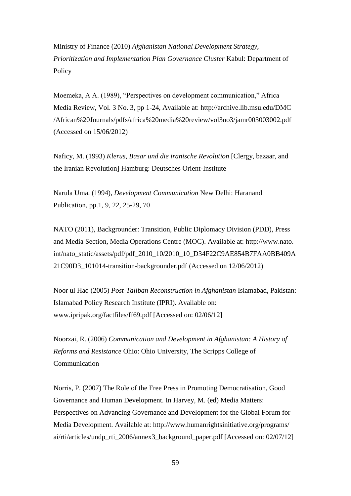Ministry of Finance (2010) *Afghanistan National Development Strategy, Prioritization and Implementation Plan Governance Cluster* Kabul: Department of **Policy** 

Moemeka, A A. (1989), "Perspectives on development communication," Africa Media Review, Vol. 3 No. 3, pp 1-24, Available at: [http://archive.lib.msu.edu/DMC](http://archive.lib.msu.edu/DMC/African%20Journals/pdfs/africa%20media%20review/vol3no3/jamr003003002.pdf)  [/African%20Journals/pdfs/africa%20media%20review/vol3no3/jamr003003002.pdf](http://archive.lib.msu.edu/DMC/African%20Journals/pdfs/africa%20media%20review/vol3no3/jamr003003002.pdf) (Accessed on 15/06/2012)

Naficy, M. (1993) *Klerus, Basar und die iranische Revolution* [Clergy, bazaar, and the Iranian Revolution] Hamburg: Deutsches Orient-Institute

Narula Uma. (1994), *Development Communication* New Delhi: Haranand Publication, pp.1, 9, 22, 25-29, 70

NATO (2011), Backgrounder: Transition, Public Diplomacy Division (PDD), Press and Media Section, Media Operations Centre (MOC). Available at: [http://www.nato.](http://www.nato.int/nato_static/assets/pdf/pdf_2010_10/2010_10_D34F22C9AE854B7FAA0BB409A21C90D3_101014-transition-backgrounder.pdf)  [int/nato\\_static/assets/pdf/pdf\\_2010\\_10/2010\\_10\\_D34F22C9AE854B7FAA0BB409A](http://www.nato.int/nato_static/assets/pdf/pdf_2010_10/2010_10_D34F22C9AE854B7FAA0BB409A21C90D3_101014-transition-backgrounder.pdf) [21C90D3\\_101014-transition-backgrounder.pdf](http://www.nato.int/nato_static/assets/pdf/pdf_2010_10/2010_10_D34F22C9AE854B7FAA0BB409A21C90D3_101014-transition-backgrounder.pdf) (Accessed on 12/06/2012)

Noor ul Haq (2005) *Post-Taliban Reconstruction in Afghanistan* Islamabad, Pakistan: Islamabad Policy Research Institute (IPRI). Available on: [www.ipripak.org/factfiles/ff69.pdf](http://www.ipripak.org/factfiles/ff69.pdf) [Accessed on: 02/06/12]

Noorzai, R. (2006) *Communication and Development in Afghanistan: A History of Reforms and Resistance* Ohio: Ohio University, The Scripps College of Communication

Norris, P. (2007) The Role of the Free Press in Promoting Democratisation, Good Governance and Human Development. In Harvey, M. (ed) Media Matters: Perspectives on Advancing Governance and Development for the Global Forum for Media Development. Available at: [http://www.humanrightsinitiative.org/programs/](http://www.humanrightsinitiative.org/programs/ai/rti/articles/undp_rti_2006/annex3_background_paper.pdf)  [ai/rti/articles/undp\\_rti\\_2006/annex3\\_background\\_paper.pdf](http://www.humanrightsinitiative.org/programs/ai/rti/articles/undp_rti_2006/annex3_background_paper.pdf) [Accessed on: 02/07/12]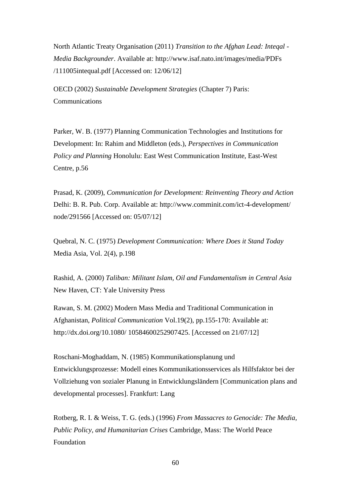North Atlantic Treaty Organisation (2011) *Transition to the Afghan Lead: Inteqal - Media Backgrounder*. Available at: [http://www.isaf.nato.int/images/media/PDFs](http://www.isaf.nato.int/images/media/PDFs/111005intequal.pdf)  [/111005intequal.pdf](http://www.isaf.nato.int/images/media/PDFs/111005intequal.pdf) [Accessed on: 12/06/12]

OECD (2002) *Sustainable Development Strategies* (Chapter 7) Paris: Communications

Parker, W. B. (1977) Planning Communication Technologies and Institutions for Development: In: Rahim and Middleton (eds.), *Perspectives in Communication Policy and Planning* Honolulu: East West Communication Institute, East-West Centre, p.56

Prasad, K. (2009), *Communication for Development: Reinventing Theory and Action* Delhi: B. R. Pub. Corp. Available at: [http://www.comminit.com/ict-4-development/](http://www.comminit.com/ict-4-development/node/291566)  [node/291566](http://www.comminit.com/ict-4-development/node/291566) [Accessed on: 05/07/12]

Quebral, N. C. (1975) *Development Communication: Where Does it Stand Today* Media Asia, Vol. 2(4), p.198

Rashid, A. (2000) *Taliban: Militant Islam, Oil and Fundamentalism in Central Asia* New Haven, CT: Yale University Press

Rawan, S. M. (2002) Modern Mass Media and Traditional Communication in Afghanistan, *Political Communication* Vol.19(2), pp.155-170: Available at: [http://dx.doi.org/10.1080/ 10584600252907425.](http://dx.doi.org/10.1080/%2010584600252907425) [Accessed on 21/07/12]

Roschani-Moghaddam, N. (1985) Kommunikationsplanung und Entwicklungsprozesse: Modell eines Kommunikationsservices als Hilfsfaktor bei der Vollziehung von sozialer Planung in Entwicklungsländern [Communication plans and developmental processes]. Frankfurt: Lang

Rotberg, R. I. & Weiss, T. G. (eds.) (1996) *From Massacres to Genocide: The Media, Public Policy, and Humanitarian Crises* Cambridge, Mass: The World Peace Foundation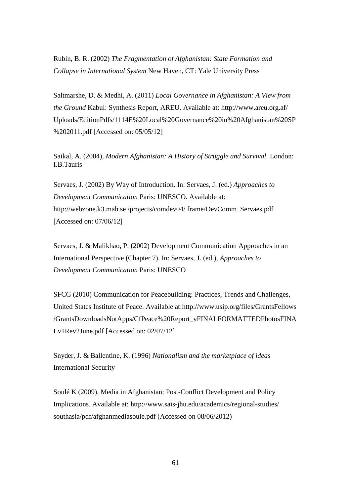Rubin, B. R. (2002) *The Fragmentation of Afghanistan: State Formation and Collapse in International System* New Haven, CT: Yale University Press

Saltmarshe, D. & Medhi, A. (2011) *Local Governance in Afghanistan: A View from the Ground* Kabul: Synthesis Report, AREU. Available at: [http://www.areu.org.af/](http://www.areu.org.af/Uploads/%20EditionPdfs/1114E%20Local%20Governance%20in%20Afghanistan%20SP%202011.pdf)  [Uploads/EditionPdfs/1114E%20Local%20Governance%20in%20Afghanistan%20SP](http://www.areu.org.af/Uploads/%20EditionPdfs/1114E%20Local%20Governance%20in%20Afghanistan%20SP%202011.pdf) [%202011.pdf](http://www.areu.org.af/Uploads/%20EditionPdfs/1114E%20Local%20Governance%20in%20Afghanistan%20SP%202011.pdf) [Accessed on: 05/05/12]

Saikal, A. (2004), *Modern Afghanistan: A History of Struggle and Survival.* London: I.B.Tauris

Servaes, J. (2002) By Way of Introduction. In: Servaes, J. (ed.) *Approaches to Development Communication* Paris: UNESCO. Available at: [http://webzone.k3.mah.se /projects/comdev04/ frame/DevComm\\_Servaes.pdf](http://webzone.k3.mah.se/projects/comdev04/%20frame/DevComm_Servaes.pdf) [Accessed on: 07/06/12]

Servaes, J. & Malikhao, P. (2002) Development Communication Approaches in an International Perspective (Chapter 7). In: Servaes, J. (ed.), *Approaches to Development Communication* Paris: UNESCO

SFCG (2010) Communication for Peacebuilding: Practices, Trends and Challenges, United States Institute of Peace. Available at[:http://www.usip.org/files/GrantsFellows](http://www.usip.org/files/GrantsFellows/Grants%20DownloadsNotApps/CfPeace%20Report_vFINALFORMATTEDPhotosFINALv1Rev2June.pdf)  [/GrantsDownloadsNotApps/CfPeace%20Report\\_vFINALFORMATTEDPhotosFINA](http://www.usip.org/files/GrantsFellows/Grants%20DownloadsNotApps/CfPeace%20Report_vFINALFORMATTEDPhotosFINALv1Rev2June.pdf) [Lv1Rev2June.pdf](http://www.usip.org/files/GrantsFellows/Grants%20DownloadsNotApps/CfPeace%20Report_vFINALFORMATTEDPhotosFINALv1Rev2June.pdf) [Accessed on: 02/07/12]

Snyder, J. & Ballentine, K. (1996) *Nationalism and the marketplace of ideas* International Security

Soulé K (2009), Media in Afghanistan: Post-Conflict Development and Policy Implications. Available at: [http://www.sais-jhu.edu/academics/regional-studies/](http://www.sais-jhu.edu/academics/regional-studies/southasia/pdf/afghanmediasoule.pdf)  [southasia/pdf/afghanmediasoule.pdf](http://www.sais-jhu.edu/academics/regional-studies/southasia/pdf/afghanmediasoule.pdf) (Accessed on 08/06/2012)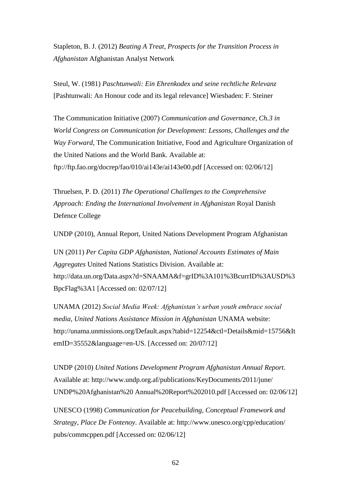Stapleton, B. J. (2012) *Beating A Treat, Prospects for the Transition Process in Afghanistan* Afghanistan Analyst Network

Steul, W. (1981) *Paschtunwali: Ein Ehrenkodex und seine rechtliche Relevanz* [Pashtunwali: An Honour code and its legal relevance] Wiesbaden: F. Steiner

The Communication Initiative (2007) *Communication and Governance, Ch.3 in World Congress on Communication for Development: Lessons, Challenges and the Way Forward,* The Communication Initiative, Food and Agriculture Organization of the United Nations and the World Bank. Available at: <ftp://ftp.fao.org/docrep/fao/010/ai143e/ai143e00.pdf> [Accessed on: 02/06/12]

Thruelsen, P. D. (2011) *The Operational Challenges to the Comprehensive Approach: Ending the International Involvement in Afghanistan* Royal Danish Defence College

UNDP (2010), Annual Report, United Nations Development Program Afghanistan

UN (2011) *Per Capita GDP Afghanistan, National Accounts Estimates of Main Aggregates* United Nations Statistics Division. Available at: [http://data.un.org/Data.aspx?d=SNAAMA&f=grID%3A101%3BcurrID%3AUSD%3](http://data.un.org/Data.aspx?d=SNAAMA&f=grID%3A101%3BcurrID%3AUSD%3BpcFlag%3A1) [BpcFlag%3A1](http://data.un.org/Data.aspx?d=SNAAMA&f=grID%3A101%3BcurrID%3AUSD%3BpcFlag%3A1) [Accessed on: 02/07/12]

UNAMA (2012) *Social Media Week: Afghanistan's urban youth embrace social media, United Nations Assistance Mission in Afghanistan* UNAMA website: [http://unama.unmissions.org/Default.aspx?tabid=12254&ctl=Details&mid=15756&It](http://unama.unmissions.org/%20Default.aspx?tabid=12254&ctl=Details&mid=15756&ItemID=35552&language=en-US) [emID=35552&language=en-US.](http://unama.unmissions.org/%20Default.aspx?tabid=12254&ctl=Details&mid=15756&ItemID=35552&language=en-US) [Accessed on: 20/07/12]

UNDP (2010) *United Nations Development Program Afghanistan Annual Report.* Available at: [http://www.undp.org.af/publications/KeyDocuments/2011/june/](http://www.undp.org.af/publications/KeyDocuments/2011/june/%20UNDP%20Afghanistan%20%20Annual%20Report%202010.pdf)  [UNDP%20Afghanistan%20 Annual%20Report%202010.pdf](http://www.undp.org.af/publications/KeyDocuments/2011/june/%20UNDP%20Afghanistan%20%20Annual%20Report%202010.pdf) [Accessed on: 02/06/12]

UNESCO (1998) *Communication for Peacebuilding, Conceptual Framework and Strategy, Place De Fontenoy*. Available at: [http://www.unesco.org/cpp/education/](http://www.unesco.org/cpp/education/pubs/commcppen.pdf)  [pubs/commcppen.pdf](http://www.unesco.org/cpp/education/pubs/commcppen.pdf) [Accessed on: 02/06/12]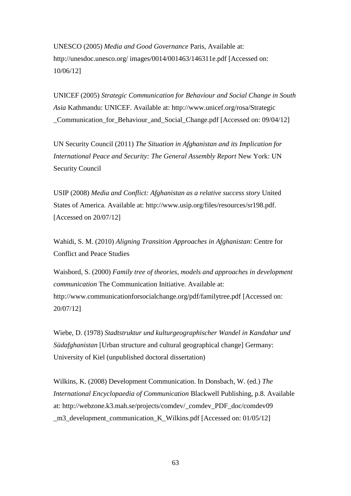UNESCO (2005) *Media and Good Governance* Paris, Available at: [http://unesdoc.unesco.org/ images/0014/001463/146311e.pdf](http://unesdoc.unesco.org/%20images/0014/001463/146311e.pdf) [Accessed on: 10/06/12]

UNICEF (2005) *Strategic Communication for Behaviour and Social Change in South Asia* Kathmandu: UNICEF. Available at: [http://www.unicef.org/rosa/Strategic](http://www.unicef.org/rosa/Strategic_Communication_for_Behaviour_and_Social_Change.pdf)  Communication for Behaviour and Social Change.pdf [Accessed on: 09/04/12]

UN Security Council (2011) *The Situation in Afghanistan and its Implication for International Peace and Security: The General Assembly Report* New York: UN Security Council

USIP (2008) *Media and Conflict: Afghanistan as a relative success story* United States of America. Available at: [http://www.usip.org/files/resources/sr198.pdf.](http://www.usip.org/files/resources/sr198.pdf) [Accessed on 20/07/12]

Wahidi, S. M. (2010) *Aligning Transition Approaches in Afghanistan*: Centre for Conflict and Peace Studies

Waisbord, S. (2000) *Family tree of theories, models and approaches in development communication* The Communication Initiative. Available at: <http://www.communicationforsocialchange.org/pdf/familytree.pdf> [Accessed on: 20/07/12]

Wiebe, D. (1978) *Stadtstruktur und kulturgeographischer Wandel in Kandahar und Südafghanistan* [Urban structure and cultural geographical change] Germany: University of Kiel (unpublished doctoral dissertation)

Wilkins, K. (2008) Development Communication. In Donsbach, W. (ed.) *The International Encyclopaedia of Communication* Blackwell Publishing, p.8. Available at: [http://webzone.k3.mah.se/projects/comdev/\\_comdev\\_PDF\\_doc/comdev09](http://webzone.k3.mah.se/projects/comdev/_comdev_PDF_doc/comdev09_m3_development_communication_K_Wilkins.pdf)  [\\_m3\\_development\\_communication\\_K\\_Wilkins.pdf](http://webzone.k3.mah.se/projects/comdev/_comdev_PDF_doc/comdev09_m3_development_communication_K_Wilkins.pdf) [Accessed on: 01/05/12]